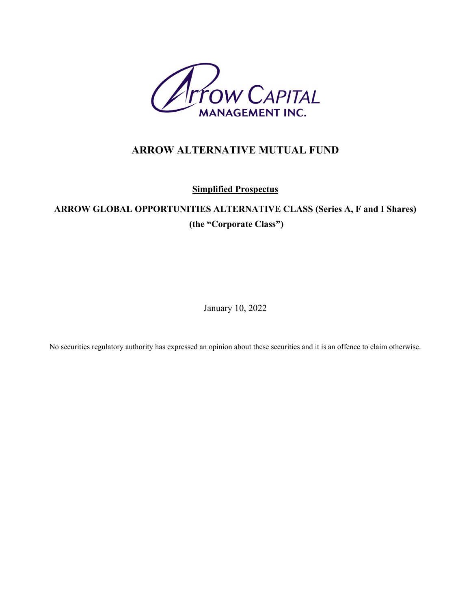

# **ARROW ALTERNATIVE MUTUAL FUND**

**Simplified Prospectus**

# **ARROW GLOBAL OPPORTUNITIES ALTERNATIVE CLASS (Series A, F and I Shares) (the "Corporate Class")**

January 10, 2022

No securities regulatory authority has expressed an opinion about these securities and it is an offence to claim otherwise.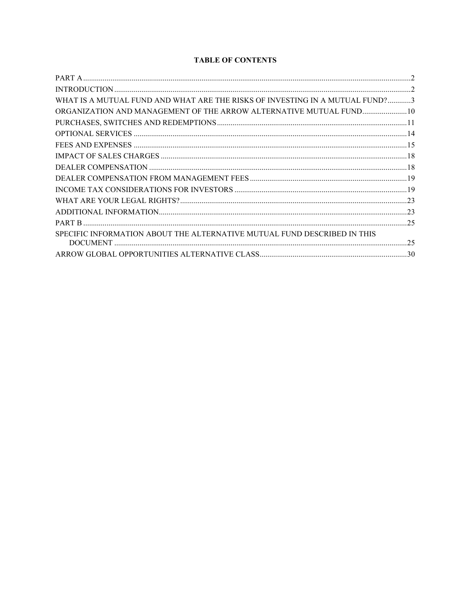## **TABLE OF CONTENTS**

| WHAT IS A MUTUAL FUND AND WHAT ARE THE RISKS OF INVESTING IN A MUTUAL FUND?3 |  |
|------------------------------------------------------------------------------|--|
| ORGANIZATION AND MANAGEMENT OF THE ARROW ALTERNATIVE MUTUAL FUND 10          |  |
|                                                                              |  |
|                                                                              |  |
|                                                                              |  |
|                                                                              |  |
|                                                                              |  |
|                                                                              |  |
|                                                                              |  |
|                                                                              |  |
|                                                                              |  |
|                                                                              |  |
| SPECIFIC INFORMATION ABOUT THE ALTERNATIVE MUTUAL FUND DESCRIBED IN THIS     |  |
|                                                                              |  |
|                                                                              |  |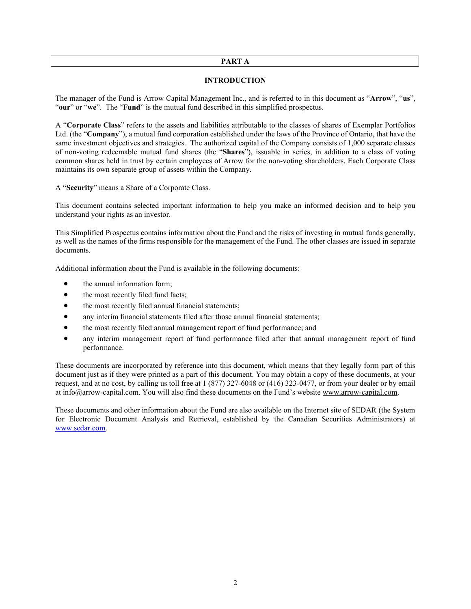#### **PART A**

#### **INTRODUCTION**

<span id="page-2-1"></span><span id="page-2-0"></span>The manager of the Fund is Arrow Capital Management Inc., and is referred to in this document as "**Arrow**", "**us**", "**our**" or "**we**". The "**Fund**" is the mutual fund described in this simplified prospectus.

A "**Corporate Class**" refers to the assets and liabilities attributable to the classes of shares of Exemplar Portfolios Ltd. (the "**Company**"), a mutual fund corporation established under the laws of the Province of Ontario, that have the same investment objectives and strategies. The authorized capital of the Company consists of 1,000 separate classes of non-voting redeemable mutual fund shares (the "**Shares**"), issuable in series, in addition to a class of voting common shares held in trust by certain employees of Arrow for the non-voting shareholders. Each Corporate Class maintains its own separate group of assets within the Company.

A "**Security**" means a Share of a Corporate Class.

This document contains selected important information to help you make an informed decision and to help you understand your rights as an investor.

This Simplified Prospectus contains information about the Fund and the risks of investing in mutual funds generally, as well as the names of the firms responsible for the management of the Fund. The other classes are issued in separate documents.

Additional information about the Fund is available in the following documents:

- the annual information form;
- the most recently filed fund facts;
- the most recently filed annual financial statements;
- any interim financial statements filed after those annual financial statements;
- the most recently filed annual management report of fund performance; and
- any interim management report of fund performance filed after that annual management report of fund performance.

These documents are incorporated by reference into this document, which means that they legally form part of this document just as if they were printed as a part of this document. You may obtain a copy of these documents, at your request, and at no cost, by calling us toll free at 1 (877) 327-6048 or (416) 323-0477, or from your dealer or by email at info@arrow-capital.com. You will also find these documents on the Fund's website [www.arrow-capital.com.](http://www.arrow-capital.com/)

These documents and other information about the Fund are also available on the Internet site of SEDAR (the System for Electronic Document Analysis and Retrieval, established by the Canadian Securities Administrators) at [www.sedar.com.](http://www.sedar.com/)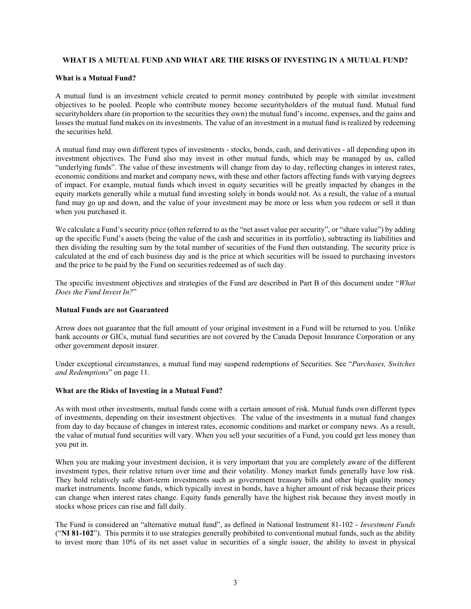## <span id="page-3-0"></span>**WHAT IS A MUTUAL FUND AND WHAT ARE THE RISKS OF INVESTING IN A MUTUAL FUND?**

## **What is a Mutual Fund?**

A mutual fund is an investment vehicle created to permit money contributed by people with similar investment objectives to be pooled. People who contribute money become securityholders of the mutual fund. Mutual fund securityholders share (in proportion to the securities they own) the mutual fund's income, expenses, and the gains and losses the mutual fund makes on its investments. The value of an investment in a mutual fund is realized by redeeming the securities held.

A mutual fund may own different types of investments - stocks, bonds, cash, and derivatives - all depending upon its investment objectives. The Fund also may invest in other mutual funds, which may be managed by us, called "underlying funds". The value of these investments will change from day to day, reflecting changes in interest rates, economic conditions and market and company news, with these and other factors affecting funds with varying degrees of impact. For example, mutual funds which invest in equity securities will be greatly impacted by changes in the equity markets generally while a mutual fund investing solely in bonds would not. As a result, the value of a mutual fund may go up and down, and the value of your investment may be more or less when you redeem or sell it than when you purchased it.

We calculate a Fund's security price (often referred to as the "net asset value per security", or "share value") by adding up the specific Fund's assets (being the value of the cash and securities in its portfolio), subtracting its liabilities and then dividing the resulting sum by the total number of securities of the Fund then outstanding. The security price is calculated at the end of each business day and is the price at which securities will be issued to purchasing investors and the price to be paid by the Fund on securities redeemed as of such day.

The specific investment objectives and strategies of the Fund are described in Part B of this document under "*What Does the Fund Invest In?*"

#### **Mutual Funds are not Guaranteed**

Arrow does not guarantee that the full amount of your original investment in a Fund will be returned to you. Unlike bank accounts or GICs, mutual fund securities are not covered by the Canada Deposit Insurance Corporation or any other government deposit insurer.

Under exceptional circumstances, a mutual fund may suspend redemptions of Securities. See "*Purchases, Switches and Redemptions*" on page [11.](#page-11-0)

#### <span id="page-3-1"></span>**What are the Risks of Investing in a Mutual Fund?**

As with most other investments, mutual funds come with a certain amount of risk. Mutual funds own different types of investments, depending on their investment objectives. The value of the investments in a mutual fund changes from day to day because of changes in interest rates, economic conditions and market or company news. As a result, the value of mutual fund securities will vary. When you sell your securities of a Fund, you could get less money than you put in.

When you are making your investment decision, it is very important that you are completely aware of the different investment types, their relative return over time and their volatility. Money market funds generally have low risk. They hold relatively safe short-term investments such as government treasury bills and other high quality money market instruments. Income funds, which typically invest in bonds, have a higher amount of risk because their prices can change when interest rates change. Equity funds generally have the highest risk because they invest mostly in stocks whose prices can rise and fall daily.

The Fund is considered an "alternative mutual fund", as defined in National Instrument 81-102 - *Investment Funds* ("**NI 81-102**"). This permits it to use strategies generally prohibited to conventional mutual funds, such as the ability to invest more than 10% of its net asset value in securities of a single issuer, the ability to invest in physical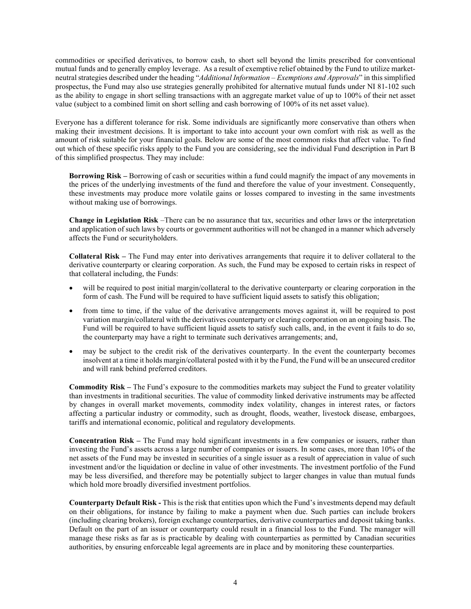commodities or specified derivatives, to borrow cash, to short sell beyond the limits prescribed for conventional mutual funds and to generally employ leverage. As a result of exemptive relief obtained by the Fund to utilize marketneutral strategies described under the heading "*Additional Information – Exemptions and Approvals*" in this simplified prospectus, the Fund may also use strategies generally prohibited for alternative mutual funds under NI 81-102 such as the ability to engage in short selling transactions with an aggregate market value of up to 100% of their net asset value (subject to a combined limit on short selling and cash borrowing of 100% of its net asset value).

Everyone has a different tolerance for risk. Some individuals are significantly more conservative than others when making their investment decisions. It is important to take into account your own comfort with risk as well as the amount of risk suitable for your financial goals. Below are some of the most common risks that affect value. To find out which of these specific risks apply to the Fund you are considering, see the individual Fund description in Part B of this simplified prospectus. They may include:

**Borrowing Risk –** Borrowing of cash or securities within a fund could magnify the impact of any movements in the prices of the underlying investments of the fund and therefore the value of your investment. Consequently, these investments may produce more volatile gains or losses compared to investing in the same investments without making use of borrowings.

**Change in Legislation Risk** –There can be no assurance that tax, securities and other laws or the interpretation and application of such laws by courts or government authorities will not be changed in a manner which adversely affects the Fund or securityholders.

**Collateral Risk –** The Fund may enter into derivatives arrangements that require it to deliver collateral to the derivative counterparty or clearing corporation. As such, the Fund may be exposed to certain risks in respect of that collateral including, the Funds:

- will be required to post initial margin/collateral to the derivative counterparty or clearing corporation in the form of cash. The Fund will be required to have sufficient liquid assets to satisfy this obligation;
- from time to time, if the value of the derivative arrangements moves against it, will be required to post variation margin/collateral with the derivatives counterparty or clearing corporation on an ongoing basis. The Fund will be required to have sufficient liquid assets to satisfy such calls, and, in the event it fails to do so, the counterparty may have a right to terminate such derivatives arrangements; and,
- may be subject to the credit risk of the derivatives counterparty. In the event the counterparty becomes insolvent at a time it holds margin/collateral posted with it by the Fund, the Fund will be an unsecured creditor and will rank behind preferred creditors.

**Commodity Risk –** The Fund's exposure to the commodities markets may subject the Fund to greater volatility than investments in traditional securities. The value of commodity linked derivative instruments may be affected by changes in overall market movements, commodity index volatility, changes in interest rates, or factors affecting a particular industry or commodity, such as drought, floods, weather, livestock disease, embargoes, tariffs and international economic, political and regulatory developments.

**Concentration Risk –** The Fund may hold significant investments in a few companies or issuers, rather than investing the Fund's assets across a large number of companies or issuers. In some cases, more than 10% of the net assets of the Fund may be invested in securities of a single issuer as a result of appreciation in value of such investment and/or the liquidation or decline in value of other investments. The investment portfolio of the Fund may be less diversified, and therefore may be potentially subject to larger changes in value than mutual funds which hold more broadly diversified investment portfolios.

**Counterparty Default Risk -** This is the risk that entities upon which the Fund's investments depend may default on their obligations, for instance by failing to make a payment when due. Such parties can include brokers (including clearing brokers), foreign exchange counterparties, derivative counterparties and deposit taking banks. Default on the part of an issuer or counterparty could result in a financial loss to the Fund. The manager will manage these risks as far as is practicable by dealing with counterparties as permitted by Canadian securities authorities, by ensuring enforceable legal agreements are in place and by monitoring these counterparties.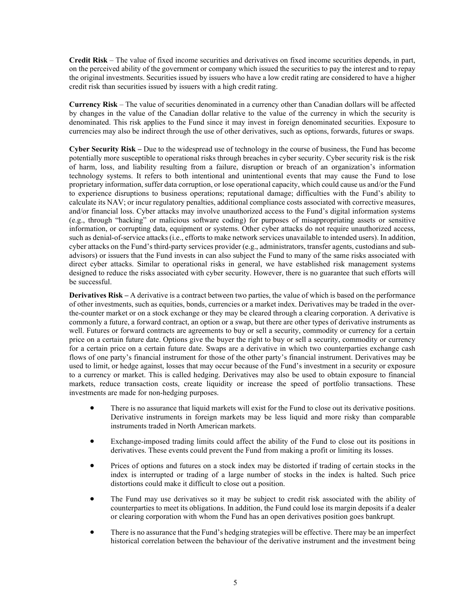**Credit Risk** – The value of fixed income securities and derivatives on fixed income securities depends, in part, on the perceived ability of the government or company which issued the securities to pay the interest and to repay the original investments. Securities issued by issuers who have a low credit rating are considered to have a higher credit risk than securities issued by issuers with a high credit rating.

**Currency Risk** – The value of securities denominated in a currency other than Canadian dollars will be affected by changes in the value of the Canadian dollar relative to the value of the currency in which the security is denominated. This risk applies to the Fund since it may invest in foreign denominated securities. Exposure to currencies may also be indirect through the use of other derivatives, such as options, forwards, futures or swaps.

**Cyber Security Risk –** Due to the widespread use of technology in the course of business, the Fund has become potentially more susceptible to operational risks through breaches in cyber security. Cyber security risk is the risk of harm, loss, and liability resulting from a failure, disruption or breach of an organization's information technology systems. It refers to both intentional and unintentional events that may cause the Fund to lose proprietary information, suffer data corruption, or lose operational capacity, which could cause us and/or the Fund to experience disruptions to business operations; reputational damage; difficulties with the Fund's ability to calculate its NAV; or incur regulatory penalties, additional compliance costs associated with corrective measures, and/or financial loss. Cyber attacks may involve unauthorized access to the Fund's digital information systems (e.g., through "hacking" or malicious software coding) for purposes of misappropriating assets or sensitive information, or corrupting data, equipment or systems. Other cyber attacks do not require unauthorized access, such as denial-of-service attacks (i.e., efforts to make network services unavailable to intended users). In addition, cyber attacks on the Fund's third-party services provider (e.g., administrators, transfer agents, custodians and subadvisors) or issuers that the Fund invests in can also subject the Fund to many of the same risks associated with direct cyber attacks. Similar to operational risks in general, we have established risk management systems designed to reduce the risks associated with cyber security. However, there is no guarantee that such efforts will be successful.

**Derivatives Risk –** A derivative is a contract between two parties, the value of which is based on the performance of other investments, such as equities, bonds, currencies or a market index. Derivatives may be traded in the overthe-counter market or on a stock exchange or they may be cleared through a clearing corporation. A derivative is commonly a future, a forward contract, an option or a swap, but there are other types of derivative instruments as well. Futures or forward contracts are agreements to buy or sell a security, commodity or currency for a certain price on a certain future date. Options give the buyer the right to buy or sell a security, commodity or currency for a certain price on a certain future date. Swaps are a derivative in which two counterparties exchange cash flows of one party's financial instrument for those of the other party's financial instrument. Derivatives may be used to limit, or hedge against, losses that may occur because of the Fund's investment in a security or exposure to a currency or market. This is called hedging. Derivatives may also be used to obtain exposure to financial markets, reduce transaction costs, create liquidity or increase the speed of portfolio transactions. These investments are made for non-hedging purposes.

- There is no assurance that liquid markets will exist for the Fund to close out its derivative positions. Derivative instruments in foreign markets may be less liquid and more risky than comparable instruments traded in North American markets.
- Exchange-imposed trading limits could affect the ability of the Fund to close out its positions in derivatives. These events could prevent the Fund from making a profit or limiting its losses.
- Prices of options and futures on a stock index may be distorted if trading of certain stocks in the index is interrupted or trading of a large number of stocks in the index is halted. Such price distortions could make it difficult to close out a position.
- The Fund may use derivatives so it may be subject to credit risk associated with the ability of counterparties to meet its obligations. In addition, the Fund could lose its margin deposits if a dealer or clearing corporation with whom the Fund has an open derivatives position goes bankrupt.
- There is no assurance that the Fund's hedging strategies will be effective. There may be an imperfect historical correlation between the behaviour of the derivative instrument and the investment being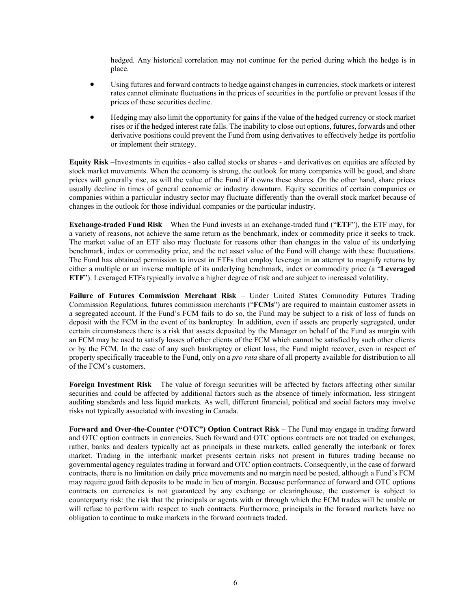hedged. Any historical correlation may not continue for the period during which the hedge is in place.

- Using futures and forward contracts to hedge against changes in currencies, stock markets or interest rates cannot eliminate fluctuations in the prices of securities in the portfolio or prevent losses if the prices of these securities decline.
- Hedging may also limit the opportunity for gains if the value of the hedged currency or stock market rises or if the hedged interest rate falls. The inability to close out options, futures, forwards and other derivative positions could prevent the Fund from using derivatives to effectively hedge its portfolio or implement their strategy.

**Equity Risk** –Investments in equities - also called stocks or shares - and derivatives on equities are affected by stock market movements. When the economy is strong, the outlook for many companies will be good, and share prices will generally rise, as will the value of the Fund if it owns these shares. On the other hand, share prices usually decline in times of general economic or industry downturn. Equity securities of certain companies or companies within a particular industry sector may fluctuate differently than the overall stock market because of changes in the outlook for those individual companies or the particular industry.

**Exchange-traded Fund Risk** *–* When the Fund invests in an exchange-traded fund ("**ETF**"), the ETF may, for a variety of reasons, not achieve the same return as the benchmark, index or commodity price it seeks to track. The market value of an ETF also may fluctuate for reasons other than changes in the value of its underlying benchmark, index or commodity price, and the net asset value of the Fund will change with these fluctuations. The Fund has obtained permission to invest in ETFs that employ leverage in an attempt to magnify returns by either a multiple or an inverse multiple of its underlying benchmark, index or commodity price (a "**Leveraged ETF**"). Leveraged ETFs typically involve a higher degree of risk and are subject to increased volatility.

**Failure of Futures Commission Merchant Risk** – Under United States Commodity Futures Trading Commission Regulations, futures commission merchants ("**FCMs**") are required to maintain customer assets in a segregated account. If the Fund's FCM fails to do so, the Fund may be subject to a risk of loss of funds on deposit with the FCM in the event of its bankruptcy. In addition, even if assets are properly segregated, under certain circumstances there is a risk that assets deposited by the Manager on behalf of the Fund as margin with an FCM may be used to satisfy losses of other clients of the FCM which cannot be satisfied by such other clients or by the FCM. In the case of any such bankruptcy or client loss, the Fund might recover, even in respect of property specifically traceable to the Fund, only on a *pro rata* share of all property available for distribution to all of the FCM's customers.

**Foreign Investment Risk** – The value of foreign securities will be affected by factors affecting other similar securities and could be affected by additional factors such as the absence of timely information, less stringent auditing standards and less liquid markets. As well, different financial, political and social factors may involve risks not typically associated with investing in Canada.

**Forward and Over-the-Counter ("OTC") Option Contract Risk** – The Fund may engage in trading forward and OTC option contracts in currencies. Such forward and OTC options contracts are not traded on exchanges; rather, banks and dealers typically act as principals in these markets, called generally the interbank or forex market. Trading in the interbank market presents certain risks not present in futures trading because no governmental agency regulates trading in forward and OTC option contracts. Consequently, in the case of forward contracts, there is no limitation on daily price movements and no margin need be posted, although a Fund's FCM may require good faith deposits to be made in lieu of margin. Because performance of forward and OTC options contracts on currencies is not guaranteed by any exchange or clearinghouse, the customer is subject to counterparty risk: the risk that the principals or agents with or through which the FCM trades will be unable or will refuse to perform with respect to such contracts. Furthermore, principals in the forward markets have no obligation to continue to make markets in the forward contracts traded.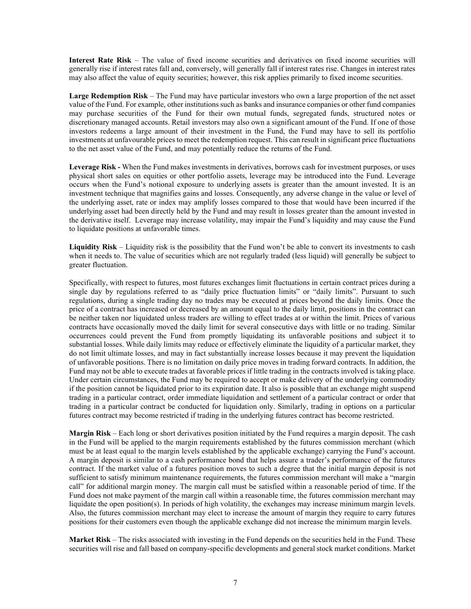**Interest Rate Risk** – The value of fixed income securities and derivatives on fixed income securities will generally rise if interest rates fall and, conversely, will generally fall if interest rates rise. Changes in interest rates may also affect the value of equity securities; however, this risk applies primarily to fixed income securities.

**Large Redemption Risk** – The Fund may have particular investors who own a large proportion of the net asset value of the Fund. For example, other institutions such as banks and insurance companies or other fund companies may purchase securities of the Fund for their own mutual funds, segregated funds, structured notes or discretionary managed accounts. Retail investors may also own a significant amount of the Fund. If one of those investors redeems a large amount of their investment in the Fund, the Fund may have to sell its portfolio investments at unfavourable prices to meet the redemption request. This can result in significant price fluctuations to the net asset value of the Fund, and may potentially reduce the returns of the Fund.

**Leverage Risk -** When the Fund makes investments in derivatives, borrows cash for investment purposes, or uses physical short sales on equities or other portfolio assets, leverage may be introduced into the Fund. Leverage occurs when the Fund's notional exposure to underlying assets is greater than the amount invested. It is an investment technique that magnifies gains and losses. Consequently, any adverse change in the value or level of the underlying asset, rate or index may amplify losses compared to those that would have been incurred if the underlying asset had been directly held by the Fund and may result in losses greater than the amount invested in the derivative itself. Leverage may increase volatility, may impair the Fund's liquidity and may cause the Fund to liquidate positions at unfavorable times.

**Liquidity Risk** – Liquidity risk is the possibility that the Fund won't be able to convert its investments to cash when it needs to. The value of securities which are not regularly traded (less liquid) will generally be subject to greater fluctuation.

Specifically, with respect to futures, most futures exchanges limit fluctuations in certain contract prices during a single day by regulations referred to as "daily price fluctuation limits" or "daily limits". Pursuant to such regulations, during a single trading day no trades may be executed at prices beyond the daily limits. Once the price of a contract has increased or decreased by an amount equal to the daily limit, positions in the contract can be neither taken nor liquidated unless traders are willing to effect trades at or within the limit. Prices of various contracts have occasionally moved the daily limit for several consecutive days with little or no trading. Similar occurrences could prevent the Fund from promptly liquidating its unfavorable positions and subject it to substantial losses. While daily limits may reduce or effectively eliminate the liquidity of a particular market, they do not limit ultimate losses, and may in fact substantially increase losses because it may prevent the liquidation of unfavorable positions. There is no limitation on daily price moves in trading forward contracts. In addition, the Fund may not be able to execute trades at favorable prices if little trading in the contracts involved is taking place. Under certain circumstances, the Fund may be required to accept or make delivery of the underlying commodity if the position cannot be liquidated prior to its expiration date. It also is possible that an exchange might suspend trading in a particular contract, order immediate liquidation and settlement of a particular contract or order that trading in a particular contract be conducted for liquidation only. Similarly, trading in options on a particular futures contract may become restricted if trading in the underlying futures contract has become restricted.

**Margin Risk** – Each long or short derivatives position initiated by the Fund requires a margin deposit. The cash in the Fund will be applied to the margin requirements established by the futures commission merchant (which must be at least equal to the margin levels established by the applicable exchange) carrying the Fund's account. A margin deposit is similar to a cash performance bond that helps assure a trader's performance of the futures contract. If the market value of a futures position moves to such a degree that the initial margin deposit is not sufficient to satisfy minimum maintenance requirements, the futures commission merchant will make a "margin call" for additional margin money. The margin call must be satisfied within a reasonable period of time. If the Fund does not make payment of the margin call within a reasonable time, the futures commission merchant may liquidate the open position(s). In periods of high volatility, the exchanges may increase minimum margin levels. Also, the futures commission merchant may elect to increase the amount of margin they require to carry futures positions for their customers even though the applicable exchange did not increase the minimum margin levels.

**Market Risk** – The risks associated with investing in the Fund depends on the securities held in the Fund. These securities will rise and fall based on company-specific developments and general stock market conditions. Market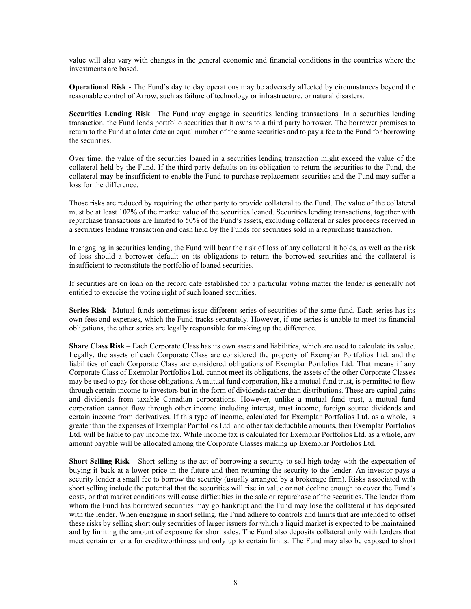value will also vary with changes in the general economic and financial conditions in the countries where the investments are based.

**Operational Risk** - The Fund's day to day operations may be adversely affected by circumstances beyond the reasonable control of Arrow, such as failure of technology or infrastructure, or natural disasters.

**Securities Lending Risk** –The Fund may engage in securities lending transactions. In a securities lending transaction, the Fund lends portfolio securities that it owns to a third party borrower. The borrower promises to return to the Fund at a later date an equal number of the same securities and to pay a fee to the Fund for borrowing the securities.

Over time, the value of the securities loaned in a securities lending transaction might exceed the value of the collateral held by the Fund. If the third party defaults on its obligation to return the securities to the Fund, the collateral may be insufficient to enable the Fund to purchase replacement securities and the Fund may suffer a loss for the difference.

Those risks are reduced by requiring the other party to provide collateral to the Fund. The value of the collateral must be at least 102% of the market value of the securities loaned. Securities lending transactions, together with repurchase transactions are limited to 50% of the Fund's assets, excluding collateral or sales proceeds received in a securities lending transaction and cash held by the Funds for securities sold in a repurchase transaction.

In engaging in securities lending, the Fund will bear the risk of loss of any collateral it holds, as well as the risk of loss should a borrower default on its obligations to return the borrowed securities and the collateral is insufficient to reconstitute the portfolio of loaned securities.

If securities are on loan on the record date established for a particular voting matter the lender is generally not entitled to exercise the voting right of such loaned securities.

**Series Risk** –Mutual funds sometimes issue different series of securities of the same fund. Each series has its own fees and expenses, which the Fund tracks separately. However, if one series is unable to meet its financial obligations, the other series are legally responsible for making up the difference.

**Share Class Risk** – Each Corporate Class has its own assets and liabilities, which are used to calculate its value. Legally, the assets of each Corporate Class are considered the property of Exemplar Portfolios Ltd. and the liabilities of each Corporate Class are considered obligations of Exemplar Portfolios Ltd. That means if any Corporate Class of Exemplar Portfolios Ltd. cannot meet its obligations, the assets of the other Corporate Classes may be used to pay for those obligations. A mutual fund corporation, like a mutual fund trust, is permitted to flow through certain income to investors but in the form of dividends rather than distributions. These are capital gains and dividends from taxable Canadian corporations. However, unlike a mutual fund trust, a mutual fund corporation cannot flow through other income including interest, trust income, foreign source dividends and certain income from derivatives. If this type of income, calculated for Exemplar Portfolios Ltd. as a whole, is greater than the expenses of Exemplar Portfolios Ltd. and other tax deductible amounts, then Exemplar Portfolios Ltd. will be liable to pay income tax. While income tax is calculated for Exemplar Portfolios Ltd. as a whole, any amount payable will be allocated among the Corporate Classes making up Exemplar Portfolios Ltd.

**Short Selling Risk** – Short selling is the act of borrowing a security to sell high today with the expectation of buying it back at a lower price in the future and then returning the security to the lender. An investor pays a security lender a small fee to borrow the security (usually arranged by a brokerage firm). Risks associated with short selling include the potential that the securities will rise in value or not decline enough to cover the Fund's costs, or that market conditions will cause difficulties in the sale or repurchase of the securities. The lender from whom the Fund has borrowed securities may go bankrupt and the Fund may lose the collateral it has deposited with the lender. When engaging in short selling, the Fund adhere to controls and limits that are intended to offset these risks by selling short only securities of larger issuers for which a liquid market is expected to be maintained and by limiting the amount of exposure for short sales. The Fund also deposits collateral only with lenders that meet certain criteria for creditworthiness and only up to certain limits. The Fund may also be exposed to short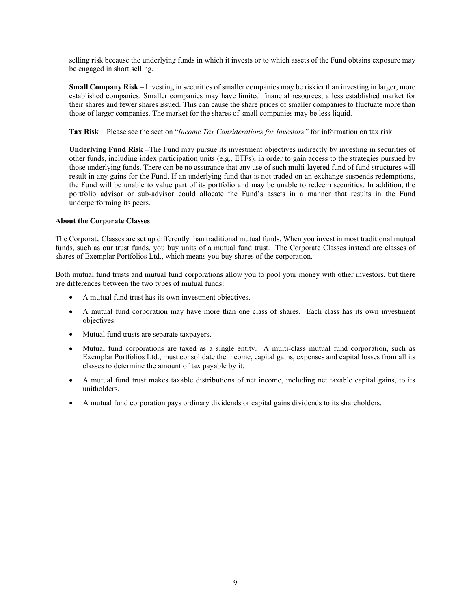selling risk because the underlying funds in which it invests or to which assets of the Fund obtains exposure may be engaged in short selling.

**Small Company Risk** – Investing in securities of smaller companies may be riskier than investing in larger, more established companies. Smaller companies may have limited financial resources, a less established market for their shares and fewer shares issued. This can cause the share prices of smaller companies to fluctuate more than those of larger companies. The market for the shares of small companies may be less liquid.

**Tax Risk** – Please see the section "*Income Tax Considerations for Investors"* for information on tax risk.

**Underlying Fund Risk –**The Fund may pursue its investment objectives indirectly by investing in securities of other funds, including index participation units (e.g., ETFs), in order to gain access to the strategies pursued by those underlying funds. There can be no assurance that any use of such multi-layered fund of fund structures will result in any gains for the Fund. If an underlying fund that is not traded on an exchange suspends redemptions, the Fund will be unable to value part of its portfolio and may be unable to redeem securities. In addition, the portfolio advisor or sub-advisor could allocate the Fund's assets in a manner that results in the Fund underperforming its peers.

## **About the Corporate Classes**

The Corporate Classes are set up differently than traditional mutual funds. When you invest in most traditional mutual funds, such as our trust funds, you buy units of a mutual fund trust. The Corporate Classes instead are classes of shares of Exemplar Portfolios Ltd., which means you buy shares of the corporation.

Both mutual fund trusts and mutual fund corporations allow you to pool your money with other investors, but there are differences between the two types of mutual funds:

- A mutual fund trust has its own investment objectives.
- A mutual fund corporation may have more than one class of shares. Each class has its own investment objectives.
- Mutual fund trusts are separate taxpayers.
- Mutual fund corporations are taxed as a single entity. A multi-class mutual fund corporation, such as Exemplar Portfolios Ltd., must consolidate the income, capital gains, expenses and capital losses from all its classes to determine the amount of tax payable by it.
- A mutual fund trust makes taxable distributions of net income, including net taxable capital gains, to its unitholders.
- A mutual fund corporation pays ordinary dividends or capital gains dividends to its shareholders.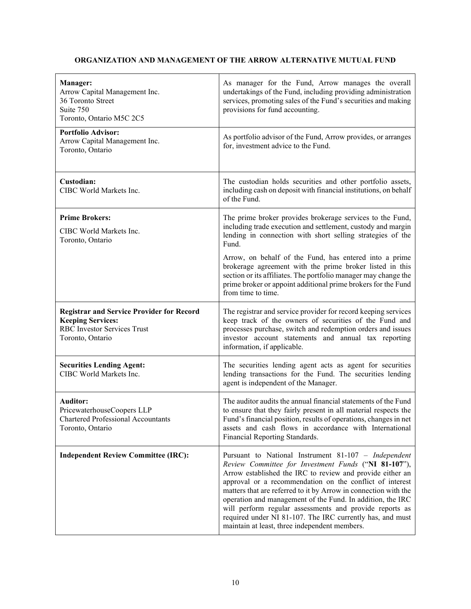## **ORGANIZATION AND MANAGEMENT OF THE ARROW ALTERNATIVE MUTUAL FUND**

<span id="page-10-0"></span>

| Manager:<br>Arrow Capital Management Inc.<br>36 Toronto Street<br>Suite 750<br>Toronto, Ontario M5C 2C5                                | As manager for the Fund, Arrow manages the overall<br>undertakings of the Fund, including providing administration<br>services, promoting sales of the Fund's securities and making<br>provisions for fund accounting.                                                                                                                                                                                                                                                                                                                          |
|----------------------------------------------------------------------------------------------------------------------------------------|-------------------------------------------------------------------------------------------------------------------------------------------------------------------------------------------------------------------------------------------------------------------------------------------------------------------------------------------------------------------------------------------------------------------------------------------------------------------------------------------------------------------------------------------------|
| <b>Portfolio Advisor:</b><br>Arrow Capital Management Inc.<br>Toronto, Ontario                                                         | As portfolio advisor of the Fund, Arrow provides, or arranges<br>for, investment advice to the Fund.                                                                                                                                                                                                                                                                                                                                                                                                                                            |
| Custodian:<br>CIBC World Markets Inc.                                                                                                  | The custodian holds securities and other portfolio assets,<br>including cash on deposit with financial institutions, on behalf<br>of the Fund.                                                                                                                                                                                                                                                                                                                                                                                                  |
| <b>Prime Brokers:</b><br>CIBC World Markets Inc.<br>Toronto, Ontario                                                                   | The prime broker provides brokerage services to the Fund,<br>including trade execution and settlement, custody and margin<br>lending in connection with short selling strategies of the<br>Fund.                                                                                                                                                                                                                                                                                                                                                |
|                                                                                                                                        | Arrow, on behalf of the Fund, has entered into a prime<br>brokerage agreement with the prime broker listed in this<br>section or its affiliates. The portfolio manager may change the<br>prime broker or appoint additional prime brokers for the Fund<br>from time to time.                                                                                                                                                                                                                                                                    |
| <b>Registrar and Service Provider for Record</b><br><b>Keeping Services:</b><br><b>RBC</b> Investor Services Trust<br>Toronto, Ontario | The registrar and service provider for record keeping services<br>keep track of the owners of securities of the Fund and<br>processes purchase, switch and redemption orders and issues<br>investor account statements and annual tax reporting<br>information, if applicable.                                                                                                                                                                                                                                                                  |
| <b>Securities Lending Agent:</b><br>CIBC World Markets Inc.                                                                            | The securities lending agent acts as agent for securities<br>lending transactions for the Fund. The securities lending<br>agent is independent of the Manager.                                                                                                                                                                                                                                                                                                                                                                                  |
| <b>Auditor:</b><br>PricewaterhouseCoopers LLP<br><b>Chartered Professional Accountants</b><br>Toronto, Ontario                         | The auditor audits the annual financial statements of the Fund<br>to ensure that they fairly present in all material respects the<br>Fund's financial position, results of operations, changes in net<br>assets and cash flows in accordance with International<br>Financial Reporting Standards.                                                                                                                                                                                                                                               |
| <b>Independent Review Committee (IRC):</b>                                                                                             | Pursuant to National Instrument 81-107 - Independent<br>Review Committee for Investment Funds ("NI 81-107"),<br>Arrow established the IRC to review and provide either an<br>approval or a recommendation on the conflict of interest<br>matters that are referred to it by Arrow in connection with the<br>operation and management of the Fund. In addition, the IRC<br>will perform regular assessments and provide reports as<br>required under NI 81-107. The IRC currently has, and must<br>maintain at least, three independent members. |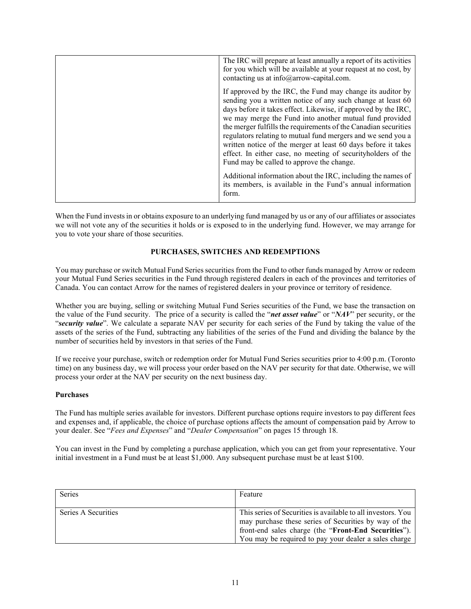| The IRC will prepare at least annually a report of its activities<br>for you which will be available at your request at no cost, by<br>contacting us at info@arrow-capital.com.                                                                                                                                                                                                                                                                                                                                                                                         |
|-------------------------------------------------------------------------------------------------------------------------------------------------------------------------------------------------------------------------------------------------------------------------------------------------------------------------------------------------------------------------------------------------------------------------------------------------------------------------------------------------------------------------------------------------------------------------|
| If approved by the IRC, the Fund may change its auditor by<br>sending you a written notice of any such change at least 60<br>days before it takes effect. Likewise, if approved by the IRC,<br>we may merge the Fund into another mutual fund provided<br>the merger fulfills the requirements of the Canadian securities<br>regulators relating to mutual fund mergers and we send you a<br>written notice of the merger at least 60 days before it takes<br>effect. In either case, no meeting of securityholders of the<br>Fund may be called to approve the change. |
| Additional information about the IRC, including the names of<br>its members, is available in the Fund's annual information<br>form.                                                                                                                                                                                                                                                                                                                                                                                                                                     |

When the Fund invests in or obtains exposure to an underlying fund managed by us or any of our affiliates or associates we will not vote any of the securities it holds or is exposed to in the underlying fund. However, we may arrange for you to vote your share of those securities.

## **PURCHASES, SWITCHES AND REDEMPTIONS**

<span id="page-11-0"></span>You may purchase or switch Mutual Fund Series securities from the Fund to other funds managed by Arrow or redeem your Mutual Fund Series securities in the Fund through registered dealers in each of the provinces and territories of Canada. You can contact Arrow for the names of registered dealers in your province or territory of residence.

Whether you are buying, selling or switching Mutual Fund Series securities of the Fund, we base the transaction on the value of the Fund security. The price of a security is called the "*net asset value*" or "*NAV*" per security, or the "*security value*". We calculate a separate NAV per security for each series of the Fund by taking the value of the assets of the series of the Fund, subtracting any liabilities of the series of the Fund and dividing the balance by the number of securities held by investors in that series of the Fund.

If we receive your purchase, switch or redemption order for Mutual Fund Series securities prior to 4:00 p.m. (Toronto time) on any business day, we will process your order based on the NAV per security for that date. Otherwise, we will process your order at the NAV per security on the next business day.

## **Purchases**

The Fund has multiple series available for investors. Different purchase options require investors to pay different fees and expenses and, if applicable, the choice of purchase options affects the amount of compensation paid by Arrow to your dealer. See "*Fees and Expenses*" and "*Dealer Compensation*" on pages [15](#page-15-0) through [18.](#page-18-2)

You can invest in the Fund by completing a purchase application, which you can get from your representative. Your initial investment in a Fund must be at least \$1,000. Any subsequent purchase must be at least \$100.

| <b>Series</b>       | Feature                                                      |
|---------------------|--------------------------------------------------------------|
|                     |                                                              |
| Series A Securities | This series of Securities is available to all investors. You |
|                     | may purchase these series of Securities by way of the        |
|                     | front-end sales charge (the "Front-End Securities").         |
|                     | You may be required to pay your dealer a sales charge        |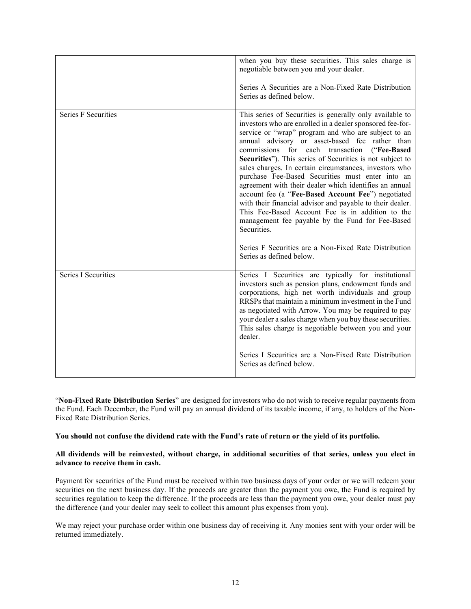|                            | when you buy these securities. This sales charge is<br>negotiable between you and your dealer.<br>Series A Securities are a Non-Fixed Rate Distribution<br>Series as defined below.                                                                                                                                                                                                                                                                                                                                                                                                                                                                                                                                                                                                                                                                |
|----------------------------|----------------------------------------------------------------------------------------------------------------------------------------------------------------------------------------------------------------------------------------------------------------------------------------------------------------------------------------------------------------------------------------------------------------------------------------------------------------------------------------------------------------------------------------------------------------------------------------------------------------------------------------------------------------------------------------------------------------------------------------------------------------------------------------------------------------------------------------------------|
| <b>Series F Securities</b> | This series of Securities is generally only available to<br>investors who are enrolled in a dealer sponsored fee-for-<br>service or "wrap" program and who are subject to an<br>annual advisory or asset-based fee rather than<br>commissions for each transaction ("Fee-Based<br>Securities"). This series of Securities is not subject to<br>sales charges. In certain circumstances, investors who<br>purchase Fee-Based Securities must enter into an<br>agreement with their dealer which identifies an annual<br>account fee (a "Fee-Based Account Fee") negotiated<br>with their financial advisor and payable to their dealer.<br>This Fee-Based Account Fee is in addition to the<br>management fee payable by the Fund for Fee-Based<br>Securities.<br>Series F Securities are a Non-Fixed Rate Distribution<br>Series as defined below. |
| <b>Series I Securities</b> | Series I Securities are typically for institutional<br>investors such as pension plans, endowment funds and<br>corporations, high net worth individuals and group<br>RRSPs that maintain a minimum investment in the Fund<br>as negotiated with Arrow. You may be required to pay<br>your dealer a sales charge when you buy these securities.<br>This sales charge is negotiable between you and your<br>dealer.<br>Series I Securities are a Non-Fixed Rate Distribution<br>Series as defined below.                                                                                                                                                                                                                                                                                                                                             |

"**Non-Fixed Rate Distribution Series**" are designed for investors who do not wish to receive regular paymentsfrom the Fund. Each December, the Fund will pay an annual dividend of its taxable income, if any, to holders of the Non-Fixed Rate Distribution Series.

## **You should not confuse the dividend rate with the Fund's rate of return or the yield of its portfolio.**

#### **All dividends will be reinvested, without charge, in additional securities of that series, unless you elect in advance to receive them in cash.**

Payment for securities of the Fund must be received within two business days of your order or we will redeem your securities on the next business day. If the proceeds are greater than the payment you owe, the Fund is required by securities regulation to keep the difference. If the proceeds are less than the payment you owe, your dealer must pay the difference (and your dealer may seek to collect this amount plus expenses from you).

We may reject your purchase order within one business day of receiving it. Any monies sent with your order will be returned immediately.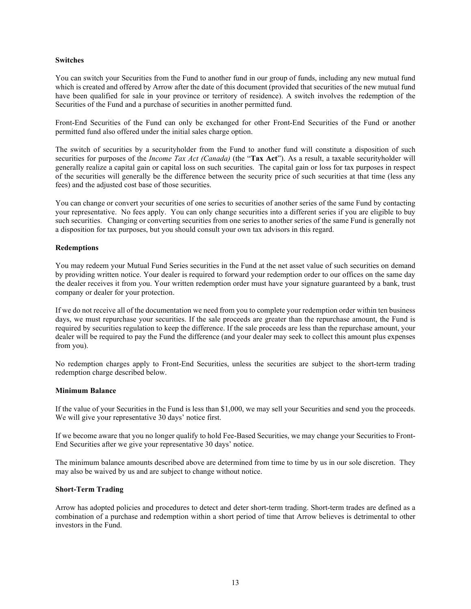#### **Switches**

You can switch your Securities from the Fund to another fund in our group of funds, including any new mutual fund which is created and offered by Arrow after the date of this document (provided that securities of the new mutual fund have been qualified for sale in your province or territory of residence). A switch involves the redemption of the Securities of the Fund and a purchase of securities in another permitted fund.

Front-End Securities of the Fund can only be exchanged for other Front-End Securities of the Fund or another permitted fund also offered under the initial sales charge option.

The switch of securities by a securityholder from the Fund to another fund will constitute a disposition of such securities for purposes of the *Income Tax Act (Canada)* (the "**Tax Act**"). As a result, a taxable securityholder will generally realize a capital gain or capital loss on such securities. The capital gain or loss for tax purposes in respect of the securities will generally be the difference between the security price of such securities at that time (less any fees) and the adjusted cost base of those securities.

You can change or convert your securities of one series to securities of another series of the same Fund by contacting your representative. No fees apply. You can only change securities into a different series if you are eligible to buy such securities. Changing or converting securities from one series to another series of the same Fund is generally not a disposition for tax purposes, but you should consult your own tax advisors in this regard.

#### **Redemptions**

You may redeem your Mutual Fund Series securities in the Fund at the net asset value of such securities on demand by providing written notice. Your dealer is required to forward your redemption order to our offices on the same day the dealer receives it from you. Your written redemption order must have your signature guaranteed by a bank, trust company or dealer for your protection.

If we do not receive all of the documentation we need from you to complete your redemption order within ten business days, we must repurchase your securities. If the sale proceeds are greater than the repurchase amount, the Fund is required by securities regulation to keep the difference. If the sale proceeds are less than the repurchase amount, your dealer will be required to pay the Fund the difference (and your dealer may seek to collect this amount plus expenses from you).

No redemption charges apply to Front-End Securities, unless the securities are subject to the short-term trading redemption charge described below.

#### **Minimum Balance**

If the value of your Securities in the Fund is less than \$1,000, we may sell your Securities and send you the proceeds. We will give your representative 30 days' notice first.

If we become aware that you no longer qualify to hold Fee-Based Securities, we may change your Securities to Front-End Securities after we give your representative 30 days' notice.

The minimum balance amounts described above are determined from time to time by us in our sole discretion. They may also be waived by us and are subject to change without notice.

#### **Short-Term Trading**

Arrow has adopted policies and procedures to detect and deter short-term trading. Short-term trades are defined as a combination of a purchase and redemption within a short period of time that Arrow believes is detrimental to other investors in the Fund.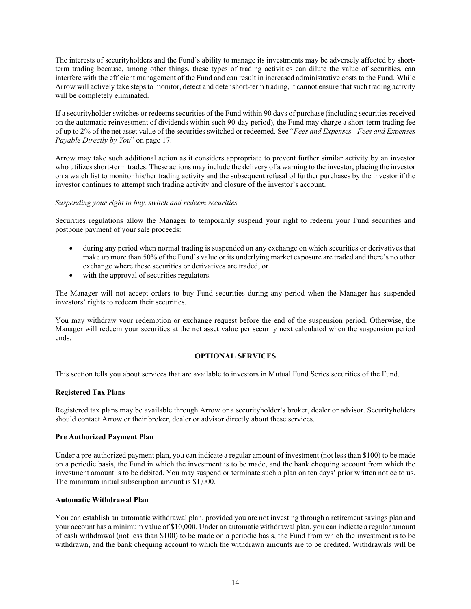The interests of securityholders and the Fund's ability to manage its investments may be adversely affected by shortterm trading because, among other things, these types of trading activities can dilute the value of securities, can interfere with the efficient management of the Fund and can result in increased administrative costs to the Fund. While Arrow will actively take steps to monitor, detect and deter short-term trading, it cannot ensure that such trading activity will be completely eliminated.

If a securityholder switches or redeems securities of the Fund within 90 days of purchase (including securities received on the automatic reinvestment of dividends within such 90-day period), the Fund may charge a short-term trading fee of up to 2% of the net asset value of the securities switched or redeemed. See "*Fees and Expenses - Fees and Expenses Payable Directly by You*" on page [17.](#page-16-0)

Arrow may take such additional action as it considers appropriate to prevent further similar activity by an investor who utilizes short-term trades. These actions may include the delivery of a warning to the investor, placing the investor on a watch list to monitor his/her trading activity and the subsequent refusal of further purchases by the investor if the investor continues to attempt such trading activity and closure of the investor's account.

## *Suspending your right to buy, switch and redeem securities*

Securities regulations allow the Manager to temporarily suspend your right to redeem your Fund securities and postpone payment of your sale proceeds:

- during any period when normal trading is suspended on any exchange on which securities or derivatives that make up more than 50% of the Fund's value or its underlying market exposure are traded and there's no other exchange where these securities or derivatives are traded, or
- with the approval of securities regulators.

The Manager will not accept orders to buy Fund securities during any period when the Manager has suspended investors' rights to redeem their securities.

You may withdraw your redemption or exchange request before the end of the suspension period. Otherwise, the Manager will redeem your securities at the net asset value per security next calculated when the suspension period ends.

## **OPTIONAL SERVICES**

<span id="page-14-0"></span>This section tells you about services that are available to investors in Mutual Fund Series securities of the Fund.

## **Registered Tax Plans**

Registered tax plans may be available through Arrow or a securityholder's broker, dealer or advisor. Securityholders should contact Arrow or their broker, dealer or advisor directly about these services.

#### **Pre Authorized Payment Plan**

Under a pre-authorized payment plan, you can indicate a regular amount of investment (not less than \$100) to be made on a periodic basis, the Fund in which the investment is to be made, and the bank chequing account from which the investment amount is to be debited. You may suspend or terminate such a plan on ten days' prior written notice to us. The minimum initial subscription amount is \$1,000.

## **Automatic Withdrawal Plan**

You can establish an automatic withdrawal plan, provided you are not investing through a retirement savings plan and your account has a minimum value of \$10,000. Under an automatic withdrawal plan, you can indicate a regular amount of cash withdrawal (not less than \$100) to be made on a periodic basis, the Fund from which the investment is to be withdrawn, and the bank chequing account to which the withdrawn amounts are to be credited. Withdrawals will be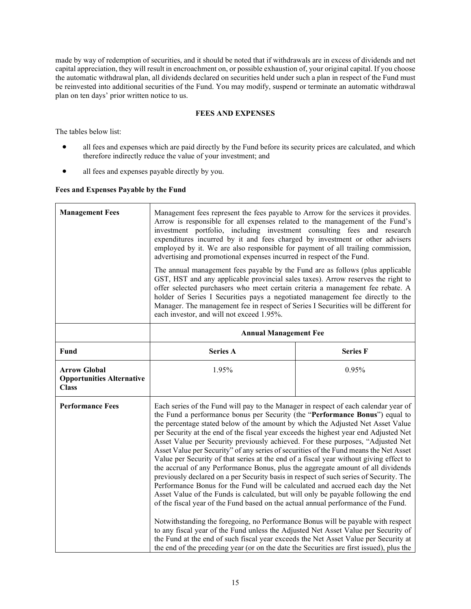made by way of redemption of securities, and it should be noted that if withdrawals are in excess of dividends and net capital appreciation, they will result in encroachment on, or possible exhaustion of, your original capital. If you choose the automatic withdrawal plan, all dividends declared on securities held under such a plan in respect of the Fund must be reinvested into additional securities of the Fund. You may modify, suspend or terminate an automatic withdrawal plan on ten days' prior written notice to us.

## **FEES AND EXPENSES**

<span id="page-15-0"></span>The tables below list:

- all fees and expenses which are paid directly by the Fund before its security prices are calculated, and which therefore indirectly reduce the value of your investment; and
- all fees and expenses payable directly by you.

## **Fees and Expenses Payable by the Fund**

| <b>Management Fees</b>                                                  | Management fees represent the fees payable to Arrow for the services it provides.<br>Arrow is responsible for all expenses related to the management of the Fund's<br>investment portfolio, including investment consulting fees and research<br>expenditures incurred by it and fees charged by investment or other advisers<br>employed by it. We are also responsible for payment of all trailing commission,<br>advertising and promotional expenses incurred in respect of the Fund.<br>The annual management fees payable by the Fund are as follows (plus applicable<br>GST, HST and any applicable provincial sales taxes). Arrow reserves the right to<br>offer selected purchasers who meet certain criteria a management fee rebate. A<br>holder of Series I Securities pays a negotiated management fee directly to the<br>Manager. The management fee in respect of Series I Securities will be different for<br>each investor, and will not exceed 1.95%.                                                                                                                                                                                                                                                                                                                                                                                                                                                       |                 |
|-------------------------------------------------------------------------|-------------------------------------------------------------------------------------------------------------------------------------------------------------------------------------------------------------------------------------------------------------------------------------------------------------------------------------------------------------------------------------------------------------------------------------------------------------------------------------------------------------------------------------------------------------------------------------------------------------------------------------------------------------------------------------------------------------------------------------------------------------------------------------------------------------------------------------------------------------------------------------------------------------------------------------------------------------------------------------------------------------------------------------------------------------------------------------------------------------------------------------------------------------------------------------------------------------------------------------------------------------------------------------------------------------------------------------------------------------------------------------------------------------------------------|-----------------|
|                                                                         | <b>Annual Management Fee</b>                                                                                                                                                                                                                                                                                                                                                                                                                                                                                                                                                                                                                                                                                                                                                                                                                                                                                                                                                                                                                                                                                                                                                                                                                                                                                                                                                                                                  |                 |
| Fund                                                                    | <b>Series A</b>                                                                                                                                                                                                                                                                                                                                                                                                                                                                                                                                                                                                                                                                                                                                                                                                                                                                                                                                                                                                                                                                                                                                                                                                                                                                                                                                                                                                               | <b>Series F</b> |
| <b>Arrow Global</b><br><b>Opportunities Alternative</b><br><b>Class</b> | 1.95%                                                                                                                                                                                                                                                                                                                                                                                                                                                                                                                                                                                                                                                                                                                                                                                                                                                                                                                                                                                                                                                                                                                                                                                                                                                                                                                                                                                                                         | 0.95%           |
| <b>Performance Fees</b>                                                 | Each series of the Fund will pay to the Manager in respect of each calendar year of<br>the Fund a performance bonus per Security (the "Performance Bonus") equal to<br>the percentage stated below of the amount by which the Adjusted Net Asset Value<br>per Security at the end of the fiscal year exceeds the highest year end Adjusted Net<br>Asset Value per Security previously achieved. For these purposes, "Adjusted Net<br>Asset Value per Security" of any series of securities of the Fund means the Net Asset<br>Value per Security of that series at the end of a fiscal year without giving effect to<br>the accrual of any Performance Bonus, plus the aggregate amount of all dividends<br>previously declared on a per Security basis in respect of such series of Security. The<br>Performance Bonus for the Fund will be calculated and accrued each day the Net<br>Asset Value of the Funds is calculated, but will only be payable following the end<br>of the fiscal year of the Fund based on the actual annual performance of the Fund.<br>Notwithstanding the foregoing, no Performance Bonus will be payable with respect<br>to any fiscal year of the Fund unless the Adjusted Net Asset Value per Security of<br>the Fund at the end of such fiscal year exceeds the Net Asset Value per Security at<br>the end of the preceding year (or on the date the Securities are first issued), plus the |                 |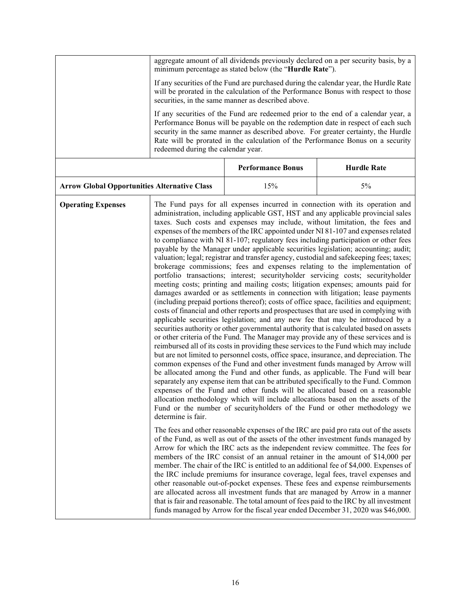<span id="page-16-0"></span>

|                                                     | aggregate amount of all dividends previously declared on a per security basis, by a<br>minimum percentage as stated below (the "Hurdle Rate").                                                                                                                                                                                                                                                                                                                                                                                                                                                                                                                                                                                                                                                                                                                                                                                                                                                                                                                                                                                                                                                                                                                                                                                                                                                                                                                                                                                                                                                                                                                                                                                                                                                                                                                                                                                                                                                                                                                                                                                                                                                                                                                                                                                                                                                                                                                                                                                                                                                                                                                                                                                                                                                                                                                                                                                    |                          |                                                                                  |
|-----------------------------------------------------|-----------------------------------------------------------------------------------------------------------------------------------------------------------------------------------------------------------------------------------------------------------------------------------------------------------------------------------------------------------------------------------------------------------------------------------------------------------------------------------------------------------------------------------------------------------------------------------------------------------------------------------------------------------------------------------------------------------------------------------------------------------------------------------------------------------------------------------------------------------------------------------------------------------------------------------------------------------------------------------------------------------------------------------------------------------------------------------------------------------------------------------------------------------------------------------------------------------------------------------------------------------------------------------------------------------------------------------------------------------------------------------------------------------------------------------------------------------------------------------------------------------------------------------------------------------------------------------------------------------------------------------------------------------------------------------------------------------------------------------------------------------------------------------------------------------------------------------------------------------------------------------------------------------------------------------------------------------------------------------------------------------------------------------------------------------------------------------------------------------------------------------------------------------------------------------------------------------------------------------------------------------------------------------------------------------------------------------------------------------------------------------------------------------------------------------------------------------------------------------------------------------------------------------------------------------------------------------------------------------------------------------------------------------------------------------------------------------------------------------------------------------------------------------------------------------------------------------------------------------------------------------------------------------------------------------|--------------------------|----------------------------------------------------------------------------------|
|                                                     | If any securities of the Fund are purchased during the calendar year, the Hurdle Rate<br>will be prorated in the calculation of the Performance Bonus with respect to those<br>securities, in the same manner as described above.                                                                                                                                                                                                                                                                                                                                                                                                                                                                                                                                                                                                                                                                                                                                                                                                                                                                                                                                                                                                                                                                                                                                                                                                                                                                                                                                                                                                                                                                                                                                                                                                                                                                                                                                                                                                                                                                                                                                                                                                                                                                                                                                                                                                                                                                                                                                                                                                                                                                                                                                                                                                                                                                                                 |                          |                                                                                  |
|                                                     | If any securities of the Fund are redeemed prior to the end of a calendar year, a<br>Performance Bonus will be payable on the redemption date in respect of each such<br>security in the same manner as described above. For greater certainty, the Hurdle<br>Rate will be prorated in the calculation of the Performance Bonus on a security<br>redeemed during the calendar year.                                                                                                                                                                                                                                                                                                                                                                                                                                                                                                                                                                                                                                                                                                                                                                                                                                                                                                                                                                                                                                                                                                                                                                                                                                                                                                                                                                                                                                                                                                                                                                                                                                                                                                                                                                                                                                                                                                                                                                                                                                                                                                                                                                                                                                                                                                                                                                                                                                                                                                                                               |                          |                                                                                  |
|                                                     |                                                                                                                                                                                                                                                                                                                                                                                                                                                                                                                                                                                                                                                                                                                                                                                                                                                                                                                                                                                                                                                                                                                                                                                                                                                                                                                                                                                                                                                                                                                                                                                                                                                                                                                                                                                                                                                                                                                                                                                                                                                                                                                                                                                                                                                                                                                                                                                                                                                                                                                                                                                                                                                                                                                                                                                                                                                                                                                                   | <b>Performance Bonus</b> | <b>Hurdle Rate</b>                                                               |
| <b>Arrow Global Opportunities Alternative Class</b> |                                                                                                                                                                                                                                                                                                                                                                                                                                                                                                                                                                                                                                                                                                                                                                                                                                                                                                                                                                                                                                                                                                                                                                                                                                                                                                                                                                                                                                                                                                                                                                                                                                                                                                                                                                                                                                                                                                                                                                                                                                                                                                                                                                                                                                                                                                                                                                                                                                                                                                                                                                                                                                                                                                                                                                                                                                                                                                                                   | 15%                      | 5%                                                                               |
| <b>Operating Expenses</b>                           | The Fund pays for all expenses incurred in connection with its operation and<br>administration, including applicable GST, HST and any applicable provincial sales<br>taxes. Such costs and expenses may include, without limitation, the fees and<br>expenses of the members of the IRC appointed under NI 81-107 and expenses related<br>to compliance with NI 81-107; regulatory fees including participation or other fees<br>payable by the Manager under applicable securities legislation; accounting; audit;<br>valuation; legal; registrar and transfer agency, custodial and safekeeping fees; taxes;<br>brokerage commissions; fees and expenses relating to the implementation of<br>portfolio transactions; interest; securityholder servicing costs; securityholder<br>meeting costs; printing and mailing costs; litigation expenses; amounts paid for<br>damages awarded or as settlements in connection with litigation; lease payments<br>(including prepaid portions thereof); costs of office space, facilities and equipment;<br>costs of financial and other reports and prospectuses that are used in complying with<br>applicable securities legislation; and any new fee that may be introduced by a<br>securities authority or other governmental authority that is calculated based on assets<br>or other criteria of the Fund. The Manager may provide any of these services and is<br>reimbursed all of its costs in providing these services to the Fund which may include<br>but are not limited to personnel costs, office space, insurance, and depreciation. The<br>common expenses of the Fund and other investment funds managed by Arrow will<br>be allocated among the Fund and other funds, as applicable. The Fund will bear<br>separately any expense item that can be attributed specifically to the Fund. Common<br>expenses of the Fund and other funds will be allocated based on a reasonable<br>allocation methodology which will include allocations based on the assets of the<br>Fund or the number of securityholders of the Fund or other methodology we<br>determine is fair.<br>The fees and other reasonable expenses of the IRC are paid pro rata out of the assets<br>of the Fund, as well as out of the assets of the other investment funds managed by<br>Arrow for which the IRC acts as the independent review committee. The fees for<br>members of the IRC consist of an annual retainer in the amount of \$14,000 per<br>member. The chair of the IRC is entitled to an additional fee of \$4,000. Expenses of<br>the IRC include premiums for insurance coverage, legal fees, travel expenses and<br>other reasonable out-of-pocket expenses. These fees and expense reimbursements<br>are allocated across all investment funds that are managed by Arrow in a manner<br>that is fair and reasonable. The total amount of fees paid to the IRC by all investment |                          | funds managed by Arrow for the fiscal year ended December 31, 2020 was \$46,000. |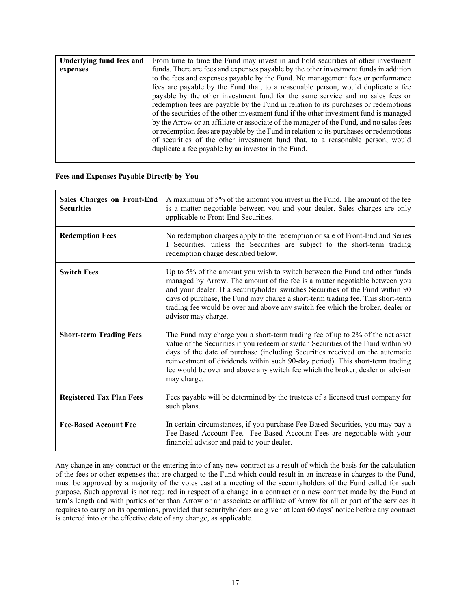| Underlying fund fees and | From time to time the Fund may invest in and hold securities of other investment        |
|--------------------------|-----------------------------------------------------------------------------------------|
| expenses                 | funds. There are fees and expenses payable by the other investment funds in addition    |
|                          | to the fees and expenses payable by the Fund. No management fees or performance         |
|                          | fees are payable by the Fund that, to a reasonable person, would duplicate a fee        |
|                          | payable by the other investment fund for the same service and no sales fees or          |
|                          | redemption fees are payable by the Fund in relation to its purchases or redemptions     |
|                          | of the securities of the other investment fund if the other investment fund is managed  |
|                          | by the Arrow or an affiliate or associate of the manager of the Fund, and no sales fees |
|                          | or redemption fees are payable by the Fund in relation to its purchases or redemptions  |
|                          | of securities of the other investment fund that, to a reasonable person, would          |
|                          | duplicate a fee payable by an investor in the Fund.                                     |
|                          |                                                                                         |

## **Fees and Expenses Payable Directly by You**

| <b>Sales Charges on Front-End</b><br><b>Securities</b> | A maximum of 5% of the amount you invest in the Fund. The amount of the fee<br>is a matter negotiable between you and your dealer. Sales charges are only<br>applicable to Front-End Securities.                                                                                                                                                                                                                                       |
|--------------------------------------------------------|----------------------------------------------------------------------------------------------------------------------------------------------------------------------------------------------------------------------------------------------------------------------------------------------------------------------------------------------------------------------------------------------------------------------------------------|
| <b>Redemption Fees</b>                                 | No redemption charges apply to the redemption or sale of Front-End and Series<br>I Securities, unless the Securities are subject to the short-term trading<br>redemption charge described below.                                                                                                                                                                                                                                       |
| <b>Switch Fees</b>                                     | Up to 5% of the amount you wish to switch between the Fund and other funds<br>managed by Arrow. The amount of the fee is a matter negotiable between you<br>and your dealer. If a securityholder switches Securities of the Fund within 90<br>days of purchase, the Fund may charge a short-term trading fee. This short-term<br>trading fee would be over and above any switch fee which the broker, dealer or<br>advisor may charge. |
| <b>Short-term Trading Fees</b>                         | The Fund may charge you a short-term trading fee of up to 2% of the net asset<br>value of the Securities if you redeem or switch Securities of the Fund within 90<br>days of the date of purchase (including Securities received on the automatic<br>reinvestment of dividends within such 90-day period). This short-term trading<br>fee would be over and above any switch fee which the broker, dealer or advisor<br>may charge.    |
| <b>Registered Tax Plan Fees</b>                        | Fees payable will be determined by the trustees of a licensed trust company for<br>such plans.                                                                                                                                                                                                                                                                                                                                         |
| <b>Fee-Based Account Fee</b>                           | In certain circumstances, if you purchase Fee-Based Securities, you may pay a<br>Fee-Based Account Fee. Fee-Based Account Fees are negotiable with your<br>financial advisor and paid to your dealer.                                                                                                                                                                                                                                  |

Any change in any contract or the entering into of any new contract as a result of which the basis for the calculation of the fees or other expenses that are charged to the Fund which could result in an increase in charges to the Fund, must be approved by a majority of the votes cast at a meeting of the securityholders of the Fund called for such purpose. Such approval is not required in respect of a change in a contract or a new contract made by the Fund at arm's length and with parties other than Arrow or an associate or affiliate of Arrow for all or part of the services it requires to carry on its operations, provided that securityholders are given at least 60 days' notice before any contract is entered into or the effective date of any change, as applicable.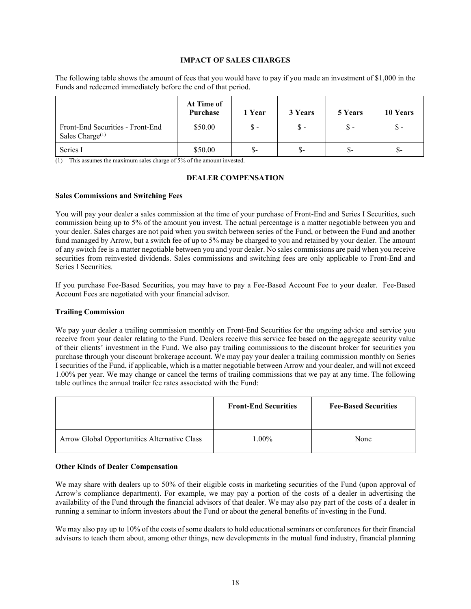#### **IMPACT OF SALES CHARGES**

<span id="page-18-0"></span>The following table shows the amount of fees that you would have to pay if you made an investment of \$1,000 in the Funds and redeemed immediately before the end of that period.

|                                                        | At Time of<br>Purchase | 1 Year         | 3 Years       | 5 Years | 10 Years |
|--------------------------------------------------------|------------------------|----------------|---------------|---------|----------|
| Front-End Securities - Front-End<br>Sales Charge $(1)$ | \$50.00                | $\mathbb{S}$ - | $\mathbb S$ - | Տ -     | \$ -     |
| Series I                                               | \$50.00                | $\mathsf{S}$   | $S-$          | $S-$    | \$-      |

<span id="page-18-1"></span>(1) This assumes the maximum sales charge of 5% of the amount invested.

#### **DEALER COMPENSATION**

#### **Sales Commissions and Switching Fees**

You will pay your dealer a sales commission at the time of your purchase of Front-End and Series I Securities, such commission being up to 5% of the amount you invest. The actual percentage is a matter negotiable between you and your dealer. Sales charges are not paid when you switch between series of the Fund, or between the Fund and another fund managed by Arrow, but a switch fee of up to 5% may be charged to you and retained by your dealer. The amount of any switch fee is a matter negotiable between you and your dealer. No sales commissions are paid when you receive securities from reinvested dividends. Sales commissions and switching fees are only applicable to Front-End and Series I Securities.

If you purchase Fee-Based Securities, you may have to pay a Fee-Based Account Fee to your dealer. Fee-Based Account Fees are negotiated with your financial advisor.

#### **Trailing Commission**

We pay your dealer a trailing commission monthly on Front-End Securities for the ongoing advice and service you receive from your dealer relating to the Fund. Dealers receive this service fee based on the aggregate security value of their clients' investment in the Fund. We also pay trailing commissions to the discount broker for securities you purchase through your discount brokerage account. We may pay your dealer a trailing commission monthly on Series I securities of the Fund, if applicable, which is a matter negotiable between Arrow and your dealer, and will not exceed 1.00% per year. We may change or cancel the terms of trailing commissions that we pay at any time. The following table outlines the annual trailer fee rates associated with the Fund:

|                                              | <b>Front-End Securities</b> | <b>Fee-Based Securities</b> |
|----------------------------------------------|-----------------------------|-----------------------------|
| Arrow Global Opportunities Alternative Class | $1.00\%$                    | None                        |

#### <span id="page-18-2"></span>**Other Kinds of Dealer Compensation**

We may share with dealers up to 50% of their eligible costs in marketing securities of the Fund (upon approval of Arrow's compliance department). For example, we may pay a portion of the costs of a dealer in advertising the availability of the Fund through the financial advisors of that dealer. We may also pay part of the costs of a dealer in running a seminar to inform investors about the Fund or about the general benefits of investing in the Fund.

We may also pay up to 10% of the costs of some dealers to hold educational seminars or conferences for their financial advisors to teach them about, among other things, new developments in the mutual fund industry, financial planning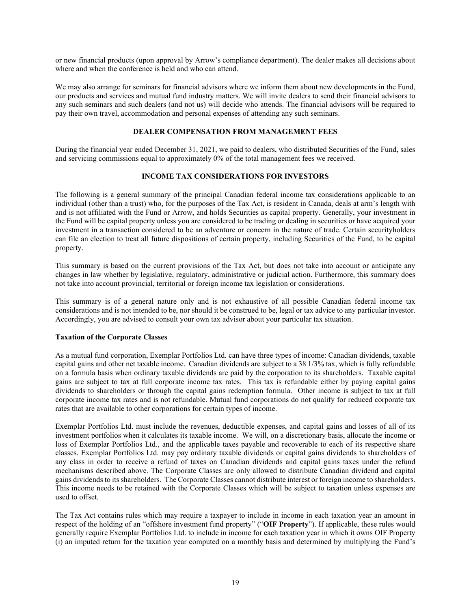or new financial products (upon approval by Arrow's compliance department). The dealer makes all decisions about where and when the conference is held and who can attend.

We may also arrange for seminars for financial advisors where we inform them about new developments in the Fund, our products and services and mutual fund industry matters. We will invite dealers to send their financial advisors to any such seminars and such dealers (and not us) will decide who attends. The financial advisors will be required to pay their own travel, accommodation and personal expenses of attending any such seminars.

## **DEALER COMPENSATION FROM MANAGEMENT FEES**

<span id="page-19-0"></span>During the financial year ended December 31, 2021, we paid to dealers, who distributed Securities of the Fund, sales and servicing commissions equal to approximately 0% of the total management fees we received.

## **INCOME TAX CONSIDERATIONS FOR INVESTORS**

<span id="page-19-1"></span>The following is a general summary of the principal Canadian federal income tax considerations applicable to an individual (other than a trust) who, for the purposes of the Tax Act, is resident in Canada, deals at arm's length with and is not affiliated with the Fund or Arrow, and holds Securities as capital property. Generally, your investment in the Fund will be capital property unless you are considered to be trading or dealing in securities or have acquired your investment in a transaction considered to be an adventure or concern in the nature of trade. Certain securityholders can file an election to treat all future dispositions of certain property, including Securities of the Fund, to be capital property.

This summary is based on the current provisions of the Tax Act, but does not take into account or anticipate any changes in law whether by legislative, regulatory, administrative or judicial action. Furthermore, this summary does not take into account provincial, territorial or foreign income tax legislation or considerations.

This summary is of a general nature only and is not exhaustive of all possible Canadian federal income tax considerations and is not intended to be, nor should it be construed to be, legal or tax advice to any particular investor. Accordingly, you are advised to consult your own tax advisor about your particular tax situation.

#### **Taxation of the Corporate Classes**

As a mutual fund corporation, Exemplar Portfolios Ltd. can have three types of income: Canadian dividends, taxable capital gains and other net taxable income. Canadian dividends are subject to a 38 1/3% tax, which is fully refundable on a formula basis when ordinary taxable dividends are paid by the corporation to its shareholders. Taxable capital gains are subject to tax at full corporate income tax rates. This tax is refundable either by paying capital gains dividends to shareholders or through the capital gains redemption formula. Other income is subject to tax at full corporate income tax rates and is not refundable. Mutual fund corporations do not qualify for reduced corporate tax rates that are available to other corporations for certain types of income.

Exemplar Portfolios Ltd. must include the revenues, deductible expenses, and capital gains and losses of all of its investment portfolios when it calculates its taxable income. We will, on a discretionary basis, allocate the income or loss of Exemplar Portfolios Ltd., and the applicable taxes payable and recoverable to each of its respective share classes. Exemplar Portfolios Ltd. may pay ordinary taxable dividends or capital gains dividends to shareholders of any class in order to receive a refund of taxes on Canadian dividends and capital gains taxes under the refund mechanisms described above. The Corporate Classes are only allowed to distribute Canadian dividend and capital gains dividends to its shareholders. The Corporate Classes cannot distribute interest or foreign income to shareholders. This income needs to be retained with the Corporate Classes which will be subject to taxation unless expenses are used to offset.

The Tax Act contains rules which may require a taxpayer to include in income in each taxation year an amount in respect of the holding of an "offshore investment fund property" ("**OIF Property**"). If applicable, these rules would generally require Exemplar Portfolios Ltd. to include in income for each taxation year in which it owns OIF Property (i) an imputed return for the taxation year computed on a monthly basis and determined by multiplying the Fund's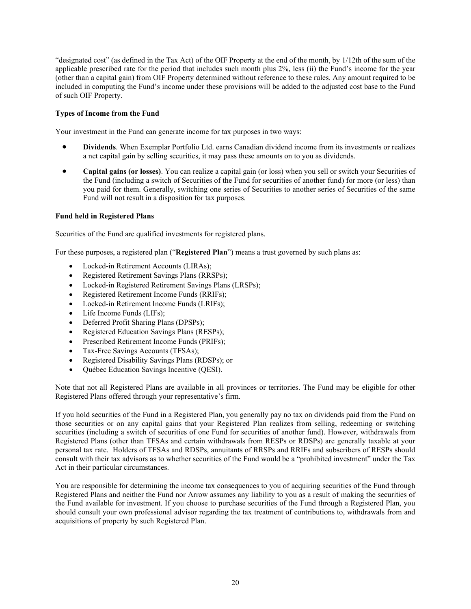"designated cost" (as defined in the Tax Act) of the OIF Property at the end of the month, by 1/12th of the sum of the applicable prescribed rate for the period that includes such month plus 2%, less (ii) the Fund's income for the year (other than a capital gain) from OIF Property determined without reference to these rules. Any amount required to be included in computing the Fund's income under these provisions will be added to the adjusted cost base to the Fund of such OIF Property.

## **Types of Income from the Fund**

Your investment in the Fund can generate income for tax purposes in two ways:

- **Dividends**. When Exemplar Portfolio Ltd. earns Canadian dividend income from its investments or realizes a net capital gain by selling securities, it may pass these amounts on to you as dividends.
- **Capital gains (or losses)**. You can realize a capital gain (or loss) when you sell or switch your Securities of the Fund (including a switch of Securities of the Fund for securities of another fund) for more (or less) than you paid for them. Generally, switching one series of Securities to another series of Securities of the same Fund will not result in a disposition for tax purposes.

## **Fund held in Registered Plans**

Securities of the Fund are qualified investments for registered plans.

For these purposes, a registered plan ("**Registered Plan**") means a trust governed by such plans as:

- Locked-in Retirement Accounts (LIRAs);
- Registered Retirement Savings Plans (RRSPs);
- Locked-in Registered Retirement Savings Plans (LRSPs);
- Registered Retirement Income Funds (RRIFs);
- Locked-in Retirement Income Funds (LRIFs);
- Life Income Funds (LIFs);
- Deferred Profit Sharing Plans (DPSPs);
- Registered Education Savings Plans (RESPs);
- Prescribed Retirement Income Funds (PRIFs);
- Tax-Free Savings Accounts (TFSAs);
- Registered Disability Savings Plans (RDSPs); or
- Québec Education Savings Incentive (QESI).

Note that not all Registered Plans are available in all provinces or territories. The Fund may be eligible for other Registered Plans offered through your representative's firm.

If you hold securities of the Fund in a Registered Plan, you generally pay no tax on dividends paid from the Fund on those securities or on any capital gains that your Registered Plan realizes from selling, redeeming or switching securities (including a switch of securities of one Fund for securities of another fund). However, withdrawals from Registered Plans (other than TFSAs and certain withdrawals from RESPs or RDSPs) are generally taxable at your personal tax rate. Holders of TFSAs and RDSPs, annuitants of RRSPs and RRIFs and subscribers of RESPs should consult with their tax advisors as to whether securities of the Fund would be a "prohibited investment" under the Tax Act in their particular circumstances.

You are responsible for determining the income tax consequences to you of acquiring securities of the Fund through Registered Plans and neither the Fund nor Arrow assumes any liability to you as a result of making the securities of the Fund available for investment. If you choose to purchase securities of the Fund through a Registered Plan, you should consult your own professional advisor regarding the tax treatment of contributions to, withdrawals from and acquisitions of property by such Registered Plan.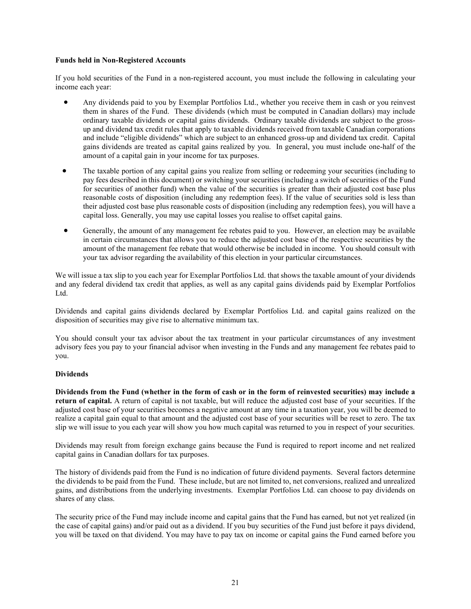#### **Funds held in Non-Registered Accounts**

If you hold securities of the Fund in a non-registered account, you must include the following in calculating your income each year:

- Any dividends paid to you by Exemplar Portfolios Ltd., whether you receive them in cash or you reinvest them in shares of the Fund. These dividends (which must be computed in Canadian dollars) may include ordinary taxable dividends or capital gains dividends. Ordinary taxable dividends are subject to the grossup and dividend tax credit rules that apply to taxable dividends received from taxable Canadian corporations and include "eligible dividends" which are subject to an enhanced gross-up and dividend tax credit. Capital gains dividends are treated as capital gains realized by you. In general, you must include one-half of the amount of a capital gain in your income for tax purposes.
- The taxable portion of any capital gains you realize from selling or redeeming your securities (including to pay fees described in this document) or switching your securities (including a switch of securities of the Fund for securities of another fund) when the value of the securities is greater than their adjusted cost base plus reasonable costs of disposition (including any redemption fees). If the value of securities sold is less than their adjusted cost base plus reasonable costs of disposition (including any redemption fees), you will have a capital loss. Generally, you may use capital losses you realise to offset capital gains.
- Generally, the amount of any management fee rebates paid to you. However, an election may be available in certain circumstances that allows you to reduce the adjusted cost base of the respective securities by the amount of the management fee rebate that would otherwise be included in income. You should consult with your tax advisor regarding the availability of this election in your particular circumstances.

We will issue a tax slip to you each year for Exemplar Portfolios Ltd. that shows the taxable amount of your dividends and any federal dividend tax credit that applies, as well as any capital gains dividends paid by Exemplar Portfolios Ltd.

Dividends and capital gains dividends declared by Exemplar Portfolios Ltd. and capital gains realized on the disposition of securities may give rise to alternative minimum tax.

You should consult your tax advisor about the tax treatment in your particular circumstances of any investment advisory fees you pay to your financial advisor when investing in the Funds and any management fee rebates paid to you.

## **Dividends**

**Dividends from the Fund (whether in the form of cash or in the form of reinvested securities) may include a return of capital.** A return of capital is not taxable, but will reduce the adjusted cost base of your securities. If the adjusted cost base of your securities becomes a negative amount at any time in a taxation year, you will be deemed to realize a capital gain equal to that amount and the adjusted cost base of your securities will be reset to zero. The tax slip we will issue to you each year will show you how much capital was returned to you in respect of your securities.

Dividends may result from foreign exchange gains because the Fund is required to report income and net realized capital gains in Canadian dollars for tax purposes.

The history of dividends paid from the Fund is no indication of future dividend payments. Several factors determine the dividends to be paid from the Fund. These include, but are not limited to, net conversions, realized and unrealized gains, and distributions from the underlying investments. Exemplar Portfolios Ltd. can choose to pay dividends on shares of any class.

The security price of the Fund may include income and capital gains that the Fund has earned, but not yet realized (in the case of capital gains) and/or paid out as a dividend. If you buy securities of the Fund just before it pays dividend, you will be taxed on that dividend. You may have to pay tax on income or capital gains the Fund earned before you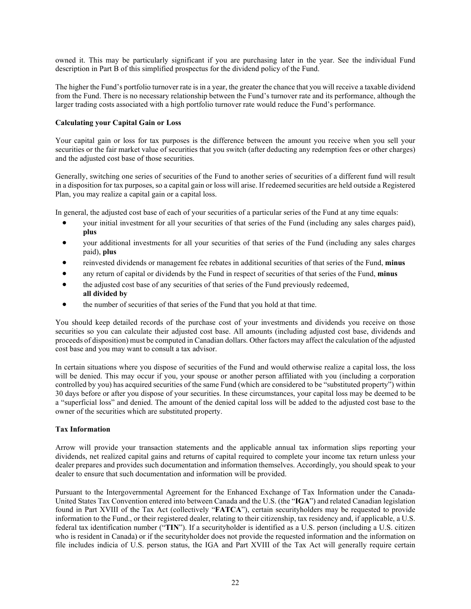owned it. This may be particularly significant if you are purchasing later in the year. See the individual Fund description in Part B of this simplified prospectus for the dividend policy of the Fund.

The higher the Fund's portfolio turnover rate is in a year, the greater the chance that you will receive a taxable dividend from the Fund. There is no necessary relationship between the Fund's turnover rate and its performance, although the larger trading costs associated with a high portfolio turnover rate would reduce the Fund's performance.

## **Calculating your Capital Gain or Loss**

Your capital gain or loss for tax purposes is the difference between the amount you receive when you sell your securities or the fair market value of securities that you switch (after deducting any redemption fees or other charges) and the adjusted cost base of those securities.

Generally, switching one series of securities of the Fund to another series of securities of a different fund will result in a disposition for tax purposes, so a capital gain or loss will arise. If redeemed securities are held outside a Registered Plan, you may realize a capital gain or a capital loss.

In general, the adjusted cost base of each of your securities of a particular series of the Fund at any time equals:

- your initial investment for all your securities of that series of the Fund (including any sales charges paid), **plus**
- your additional investments for all your securities of that series of the Fund (including any sales charges paid), **plus**
- reinvested dividends or management fee rebates in additional securities of that series of the Fund, **minus**
- any return of capital or dividends by the Fund in respect of securities of that series of the Fund, **minus**
- the adjusted cost base of any securities of that series of the Fund previously redeemed, **all divided by**
- the number of securities of that series of the Fund that you hold at that time.

You should keep detailed records of the purchase cost of your investments and dividends you receive on those securities so you can calculate their adjusted cost base. All amounts (including adjusted cost base, dividends and proceeds of disposition) must be computed in Canadian dollars. Other factors may affect the calculation of the adjusted cost base and you may want to consult a tax advisor.

In certain situations where you dispose of securities of the Fund and would otherwise realize a capital loss, the loss will be denied. This may occur if you, your spouse or another person affiliated with you (including a corporation controlled by you) has acquired securities of the same Fund (which are considered to be "substituted property") within 30 days before or after you dispose of your securities. In these circumstances, your capital loss may be deemed to be a "superficial loss" and denied. The amount of the denied capital loss will be added to the adjusted cost base to the owner of the securities which are substituted property.

## **Tax Information**

Arrow will provide your transaction statements and the applicable annual tax information slips reporting your dividends, net realized capital gains and returns of capital required to complete your income tax return unless your dealer prepares and provides such documentation and information themselves. Accordingly, you should speak to your dealer to ensure that such documentation and information will be provided.

Pursuant to the Intergovernmental Agreement for the Enhanced Exchange of Tax Information under the Canada-United States Tax Convention entered into between Canada and the U.S. (the "**IGA**") and related Canadian legislation found in Part XVIII of the Tax Act (collectively "**FATCA**"), certain securityholders may be requested to provide information to the Fund., or their registered dealer, relating to their citizenship, tax residency and, if applicable, a U.S. federal tax identification number ("**TIN**"). If a securityholder is identified as a U.S. person (including a U.S. citizen who is resident in Canada) or if the securityholder does not provide the requested information and the information on file includes indicia of U.S. person status, the IGA and Part XVIII of the Tax Act will generally require certain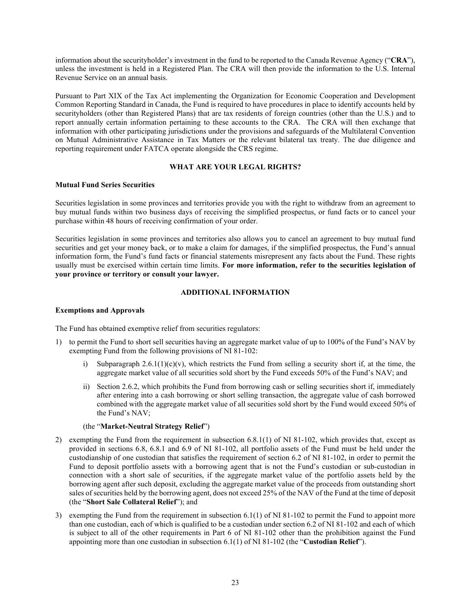information about the securityholder's investment in the fund to be reported to the Canada Revenue Agency ("**CRA**"), unless the investment is held in a Registered Plan. The CRA will then provide the information to the U.S. Internal Revenue Service on an annual basis.

Pursuant to Part XIX of the Tax Act implementing the Organization for Economic Cooperation and Development Common Reporting Standard in Canada, the Fund is required to have procedures in place to identify accounts held by securityholders (other than Registered Plans) that are tax residents of foreign countries (other than the U.S.) and to report annually certain information pertaining to these accounts to the CRA. The CRA will then exchange that information with other participating jurisdictions under the provisions and safeguards of the Multilateral Convention on Mutual Administrative Assistance in Tax Matters or the relevant bilateral tax treaty. The due diligence and reporting requirement under FATCA operate alongside the CRS regime.

## **WHAT ARE YOUR LEGAL RIGHTS?**

## <span id="page-23-0"></span>**Mutual Fund Series Securities**

Securities legislation in some provinces and territories provide you with the right to withdraw from an agreement to buy mutual funds within two business days of receiving the simplified prospectus, or fund facts or to cancel your purchase within 48 hours of receiving confirmation of your order.

Securities legislation in some provinces and territories also allows you to cancel an agreement to buy mutual fund securities and get your money back, or to make a claim for damages, if the simplified prospectus, the Fund's annual information form, the Fund's fund facts or financial statements misrepresent any facts about the Fund. These rights usually must be exercised within certain time limits. **For more information, refer to the securities legislation of your province or territory or consult your lawyer.**

## **ADDITIONAL INFORMATION**

## <span id="page-23-1"></span>**Exemptions and Approvals**

The Fund has obtained exemptive relief from securities regulators:

- 1) to permit the Fund to short sell securities having an aggregate market value of up to 100% of the Fund's NAV by exempting Fund from the following provisions of NI 81-102:
	- i) Subparagraph  $2.6.1(1)(c)(v)$ , which restricts the Fund from selling a security short if, at the time, the aggregate market value of all securities sold short by the Fund exceeds 50% of the Fund's NAV; and
	- ii) Section 2.6.2, which prohibits the Fund from borrowing cash or selling securities short if, immediately after entering into a cash borrowing or short selling transaction, the aggregate value of cash borrowed combined with the aggregate market value of all securities sold short by the Fund would exceed 50% of the Fund's NAV;

## (the "**Market-Neutral Strategy Relief**")

- 2) exempting the Fund from the requirement in subsection 6.8.1(1) of NI 81-102, which provides that, except as provided in sections 6.8, 6.8.1 and 6.9 of NI 81-102, all portfolio assets of the Fund must be held under the custodianship of one custodian that satisfies the requirement of section 6.2 of NI 81-102, in order to permit the Fund to deposit portfolio assets with a borrowing agent that is not the Fund's custodian or sub-custodian in connection with a short sale of securities, if the aggregate market value of the portfolio assets held by the borrowing agent after such deposit, excluding the aggregate market value of the proceeds from outstanding short sales of securities held by the borrowing agent, does not exceed 25% of the NAV of the Fund at the time of deposit (the "**Short Sale Collateral Relief**"); and
- 3) exempting the Fund from the requirement in subsection 6.1(1) of NI 81-102 to permit the Fund to appoint more than one custodian, each of which is qualified to be a custodian under section 6.2 of NI 81-102 and each of which is subject to all of the other requirements in Part 6 of NI 81-102 other than the prohibition against the Fund appointing more than one custodian in subsection 6.1(1) of NI 81-102 (the "**Custodian Relief**").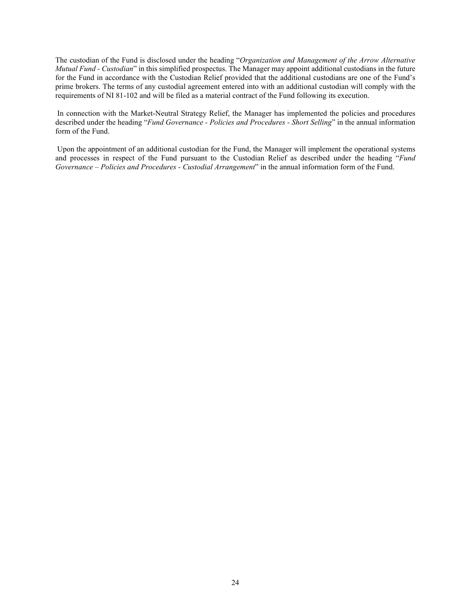The custodian of the Fund is disclosed under the heading "*Organization and Management of the Arrow Alternative Mutual Fund - Custodian*" in this simplified prospectus. The Manager may appoint additional custodians in the future for the Fund in accordance with the Custodian Relief provided that the additional custodians are one of the Fund's prime brokers. The terms of any custodial agreement entered into with an additional custodian will comply with the requirements of NI 81-102 and will be filed as a material contract of the Fund following its execution.

In connection with the Market-Neutral Strategy Relief, the Manager has implemented the policies and procedures described under the heading "*Fund Governance - Policies and Procedures - Short Selling*" in the annual information form of the Fund.

Upon the appointment of an additional custodian for the Fund, the Manager will implement the operational systems and processes in respect of the Fund pursuant to the Custodian Relief as described under the heading "*Fund Governance – Policies and Procedures - Custodial Arrangement*" in the annual information form of the Fund.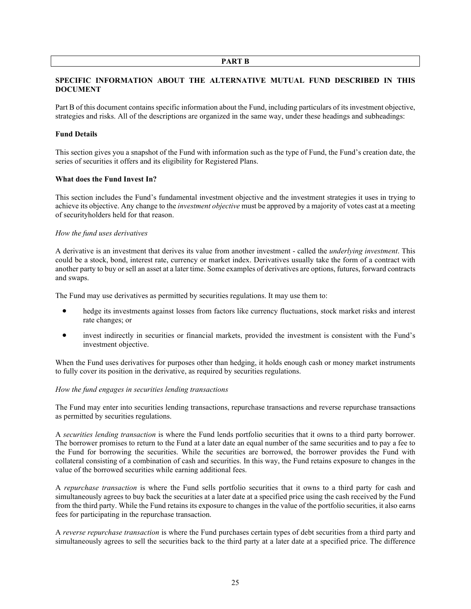#### **PART B**

## <span id="page-25-1"></span><span id="page-25-0"></span>**SPECIFIC INFORMATION ABOUT THE ALTERNATIVE MUTUAL FUND DESCRIBED IN THIS DOCUMENT**

Part B of this document contains specific information about the Fund, including particulars of its investment objective, strategies and risks. All of the descriptions are organized in the same way, under these headings and subheadings:

## **Fund Details**

This section gives you a snapshot of the Fund with information such as the type of Fund, the Fund's creation date, the series of securities it offers and its eligibility for Registered Plans.

#### **What does the Fund Invest In?**

This section includes the Fund's fundamental investment objective and the investment strategies it uses in trying to achieve its objective. Any change to the *investment objective* must be approved by a majority of votes cast at a meeting of securityholders held for that reason.

## *How the fund uses derivatives*

A derivative is an investment that derives its value from another investment - called the *underlying investment*. This could be a stock, bond, interest rate, currency or market index. Derivatives usually take the form of a contract with another party to buy or sell an asset at a later time. Some examples of derivatives are options, futures, forward contracts and swaps.

The Fund may use derivatives as permitted by securities regulations. It may use them to:

- hedge its investments against losses from factors like currency fluctuations, stock market risks and interest rate changes; or
- invest indirectly in securities or financial markets, provided the investment is consistent with the Fund's investment objective.

When the Fund uses derivatives for purposes other than hedging, it holds enough cash or money market instruments to fully cover its position in the derivative, as required by securities regulations.

#### *How the fund engages in securities lending transactions*

The Fund may enter into securities lending transactions, repurchase transactions and reverse repurchase transactions as permitted by securities regulations.

A *securities lending transaction* is where the Fund lends portfolio securities that it owns to a third party borrower. The borrower promises to return to the Fund at a later date an equal number of the same securities and to pay a fee to the Fund for borrowing the securities. While the securities are borrowed, the borrower provides the Fund with collateral consisting of a combination of cash and securities. In this way, the Fund retains exposure to changes in the value of the borrowed securities while earning additional fees.

A *repurchase transaction* is where the Fund sells portfolio securities that it owns to a third party for cash and simultaneously agrees to buy back the securities at a later date at a specified price using the cash received by the Fund from the third party. While the Fund retains its exposure to changes in the value of the portfolio securities, it also earns fees for participating in the repurchase transaction.

A *reverse repurchase transaction* is where the Fund purchases certain types of debt securities from a third party and simultaneously agrees to sell the securities back to the third party at a later date at a specified price. The difference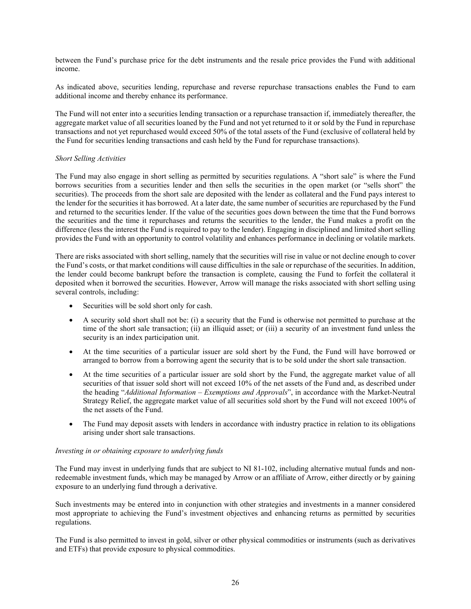between the Fund's purchase price for the debt instruments and the resale price provides the Fund with additional income.

As indicated above, securities lending, repurchase and reverse repurchase transactions enables the Fund to earn additional income and thereby enhance its performance.

The Fund will not enter into a securities lending transaction or a repurchase transaction if, immediately thereafter, the aggregate market value of all securities loaned by the Fund and not yet returned to it or sold by the Fund in repurchase transactions and not yet repurchased would exceed 50% of the total assets of the Fund (exclusive of collateral held by the Fund for securities lending transactions and cash held by the Fund for repurchase transactions).

## *Short Selling Activities*

The Fund may also engage in short selling as permitted by securities regulations. A "short sale" is where the Fund borrows securities from a securities lender and then sells the securities in the open market (or "sells short" the securities). The proceeds from the short sale are deposited with the lender as collateral and the Fund pays interest to the lender for the securities it has borrowed. At a later date, the same number of securities are repurchased by the Fund and returned to the securities lender. If the value of the securities goes down between the time that the Fund borrows the securities and the time it repurchases and returns the securities to the lender, the Fund makes a profit on the difference (less the interest the Fund is required to pay to the lender). Engaging in disciplined and limited short selling provides the Fund with an opportunity to control volatility and enhances performance in declining or volatile markets.

There are risks associated with short selling, namely that the securities will rise in value or not decline enough to cover the Fund's costs, or that market conditions will cause difficulties in the sale or repurchase of the securities. In addition, the lender could become bankrupt before the transaction is complete, causing the Fund to forfeit the collateral it deposited when it borrowed the securities. However, Arrow will manage the risks associated with short selling using several controls, including:

- Securities will be sold short only for cash.
- A security sold short shall not be: (i) a security that the Fund is otherwise not permitted to purchase at the time of the short sale transaction; (ii) an illiquid asset; or (iii) a security of an investment fund unless the security is an index participation unit.
- At the time securities of a particular issuer are sold short by the Fund, the Fund will have borrowed or arranged to borrow from a borrowing agent the security that is to be sold under the short sale transaction.
- At the time securities of a particular issuer are sold short by the Fund, the aggregate market value of all securities of that issuer sold short will not exceed 10% of the net assets of the Fund and, as described under the heading "*Additional Information – Exemptions and Approvals*", in accordance with the Market-Neutral Strategy Relief, the aggregate market value of all securities sold short by the Fund will not exceed 100% of the net assets of the Fund.
- The Fund may deposit assets with lenders in accordance with industry practice in relation to its obligations arising under short sale transactions.

#### *Investing in or obtaining exposure to underlying funds*

The Fund may invest in underlying funds that are subject to NI 81-102, including alternative mutual funds and nonredeemable investment funds, which may be managed by Arrow or an affiliate of Arrow, either directly or by gaining exposure to an underlying fund through a derivative.

Such investments may be entered into in conjunction with other strategies and investments in a manner considered most appropriate to achieving the Fund's investment objectives and enhancing returns as permitted by securities regulations.

The Fund is also permitted to invest in gold, silver or other physical commodities or instruments (such as derivatives and ETFs) that provide exposure to physical commodities.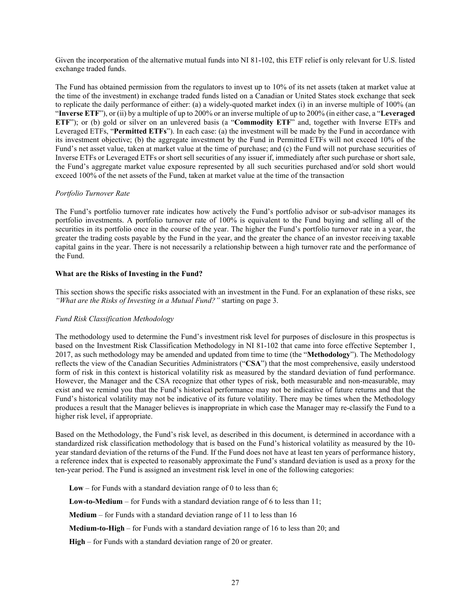Given the incorporation of the alternative mutual funds into NI 81-102, this ETF relief is only relevant for U.S. listed exchange traded funds.

The Fund has obtained permission from the regulators to invest up to 10% of its net assets (taken at market value at the time of the investment) in exchange traded funds listed on a Canadian or United States stock exchange that seek to replicate the daily performance of either: (a) a widely-quoted market index (i) in an inverse multiple of 100% (an "**Inverse ETF**"), or (ii) by a multiple of up to 200% or an inverse multiple of up to 200% (in either case, a "**Leveraged ETF**"); or (b) gold or silver on an unlevered basis (a "**Commodity ETF**" and, together with Inverse ETFs and Leveraged ETFs, "**Permitted ETFs**"). In each case: (a) the investment will be made by the Fund in accordance with its investment objective; (b) the aggregate investment by the Fund in Permitted ETFs will not exceed 10% of the Fund's net asset value, taken at market value at the time of purchase; and (c) the Fund will not purchase securities of Inverse ETFs or Leveraged ETFs or short sell securities of any issuer if, immediately after such purchase or short sale, the Fund's aggregate market value exposure represented by all such securities purchased and/or sold short would exceed 100% of the net assets of the Fund, taken at market value at the time of the transaction

## *Portfolio Turnover Rate*

The Fund's portfolio turnover rate indicates how actively the Fund's portfolio advisor or sub-advisor manages its portfolio investments. A portfolio turnover rate of 100% is equivalent to the Fund buying and selling all of the securities in its portfolio once in the course of the year. The higher the Fund's portfolio turnover rate in a year, the greater the trading costs payable by the Fund in the year, and the greater the chance of an investor receiving taxable capital gains in the year. There is not necessarily a relationship between a high turnover rate and the performance of the Fund.

## **What are the Risks of Investing in the Fund?**

This section shows the specific risks associated with an investment in the Fund. For an explanation of these risks, see *"What are the Risks of Investing in a Mutual Fund?"* starting on pag[e 3.](#page-3-1)

#### *Fund Risk Classification Methodology*

The methodology used to determine the Fund's investment risk level for purposes of disclosure in this prospectus is based on the Investment Risk Classification Methodology in NI 81-102 that came into force effective September 1, 2017, as such methodology may be amended and updated from time to time (the "**Methodology**"). The Methodology reflects the view of the Canadian Securities Administrators ("**CSA**") that the most comprehensive, easily understood form of risk in this context is historical volatility risk as measured by the standard deviation of fund performance. However, the Manager and the CSA recognize that other types of risk, both measurable and non-measurable, may exist and we remind you that the Fund's historical performance may not be indicative of future returns and that the Fund's historical volatility may not be indicative of its future volatility. There may be times when the Methodology produces a result that the Manager believes is inappropriate in which case the Manager may re-classify the Fund to a higher risk level, if appropriate.

Based on the Methodology, the Fund's risk level, as described in this document, is determined in accordance with a standardized risk classification methodology that is based on the Fund's historical volatility as measured by the 10 year standard deviation of the returns of the Fund. If the Fund does not have at least ten years of performance history, a reference index that is expected to reasonably approximate the Fund's standard deviation is used as a proxy for the ten-year period. The Fund is assigned an investment risk level in one of the following categories:

**Low** – for Funds with a standard deviation range of 0 to less than 6;

**Low-to-Medium** – for Funds with a standard deviation range of 6 to less than 11;

**Medium** – for Funds with a standard deviation range of 11 to less than 16

**Medium-to-High** – for Funds with a standard deviation range of 16 to less than 20; and

**High** – for Funds with a standard deviation range of 20 or greater.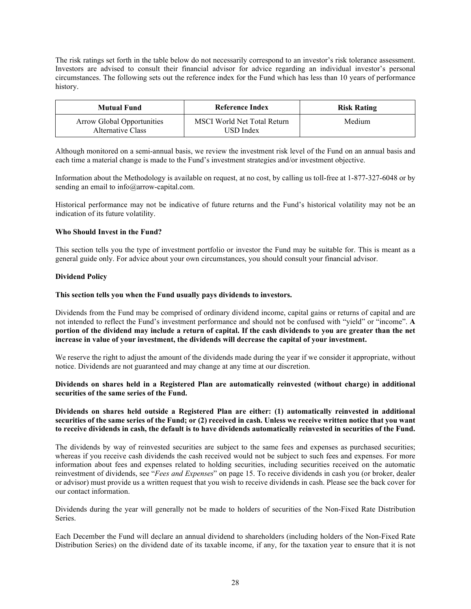The risk ratings set forth in the table below do not necessarily correspond to an investor's risk tolerance assessment. Investors are advised to consult their financial advisor for advice regarding an individual investor's personal circumstances. The following sets out the reference index for the Fund which has less than 10 years of performance history.

| <b>Mutual Fund</b>                                     | Reference Index                          | <b>Risk Rating</b> |
|--------------------------------------------------------|------------------------------------------|--------------------|
| <b>Arrow Global Opportunities</b><br>Alternative Class | MSCI World Net Total Return<br>USD Index | Medium             |

Although monitored on a semi-annual basis, we review the investment risk level of the Fund on an annual basis and each time a material change is made to the Fund's investment strategies and/or investment objective.

Information about the Methodology is available on request, at no cost, by calling us toll-free at 1-877-327-6048 or by sending an email to info@arrow-capital.com.

Historical performance may not be indicative of future returns and the Fund's historical volatility may not be an indication of its future volatility.

#### **Who Should Invest in the Fund?**

This section tells you the type of investment portfolio or investor the Fund may be suitable for. This is meant as a general guide only. For advice about your own circumstances, you should consult your financial advisor.

## <span id="page-28-0"></span>**Dividend Policy**

#### **This section tells you when the Fund usually pays dividends to investors.**

Dividends from the Fund may be comprised of ordinary dividend income, capital gains or returns of capital and are not intended to reflect the Fund's investment performance and should not be confused with "yield" or "income". **A portion of the dividend may include a return of capital. If the cash dividends to you are greater than the net increase in value of your investment, the dividends will decrease the capital of your investment.** 

We reserve the right to adjust the amount of the dividends made during the year if we consider it appropriate, without notice. Dividends are not guaranteed and may change at any time at our discretion.

## **Dividends on shares held in a Registered Plan are automatically reinvested (without charge) in additional securities of the same series of the Fund.**

#### **Dividends on shares held outside a Registered Plan are either: (1) automatically reinvested in additional securities of the same series of the Fund; or (2) received in cash. Unless we receive written notice that you want to receive dividends in cash, the default is to have dividends automatically reinvested in securities of the Fund.**

The dividends by way of reinvested securities are subject to the same fees and expenses as purchased securities; whereas if you receive cash dividends the cash received would not be subject to such fees and expenses. For more information about fees and expenses related to holding securities, including securities received on the automatic reinvestment of dividends, see "*Fees and Expenses*" on page [15.](#page-15-0) To receive dividends in cash you (or broker, dealer or advisor) must provide us a written request that you wish to receive dividends in cash. Please see the back cover for our contact information.

Dividends during the year will generally not be made to holders of securities of the Non-Fixed Rate Distribution Series.

Each December the Fund will declare an annual dividend to shareholders (including holders of the Non-Fixed Rate Distribution Series) on the dividend date of its taxable income, if any, for the taxation year to ensure that it is not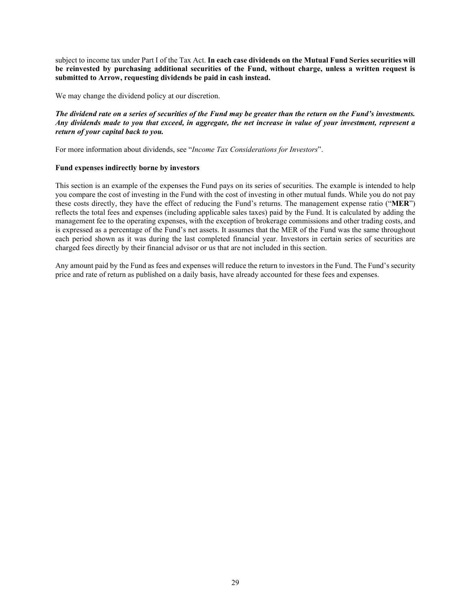subject to income tax under Part I of the Tax Act. **In each case dividends on the Mutual Fund Series securities will be reinvested by purchasing additional securities of the Fund, without charge, unless a written request is submitted to Arrow, requesting dividends be paid in cash instead.**

We may change the dividend policy at our discretion.

## *The dividend rate on a series of securities of the Fund may be greater than the return on the Fund's investments. Any dividends made to you that exceed, in aggregate, the net increase in value of your investment, represent a return of your capital back to you.*

For more information about dividends, see "*Income Tax Considerations for Investors*".

## **Fund expenses indirectly borne by investors**

This section is an example of the expenses the Fund pays on its series of securities. The example is intended to help you compare the cost of investing in the Fund with the cost of investing in other mutual funds. While you do not pay these costs directly, they have the effect of reducing the Fund's returns. The management expense ratio ("**MER**") reflects the total fees and expenses (including applicable sales taxes) paid by the Fund. It is calculated by adding the management fee to the operating expenses, with the exception of brokerage commissions and other trading costs, and is expressed as a percentage of the Fund's net assets. It assumes that the MER of the Fund was the same throughout each period shown as it was during the last completed financial year. Investors in certain series of securities are charged fees directly by their financial advisor or us that are not included in this section.

Any amount paid by the Fund as fees and expenses will reduce the return to investors in the Fund. The Fund's security price and rate of return as published on a daily basis, have already accounted for these fees and expenses.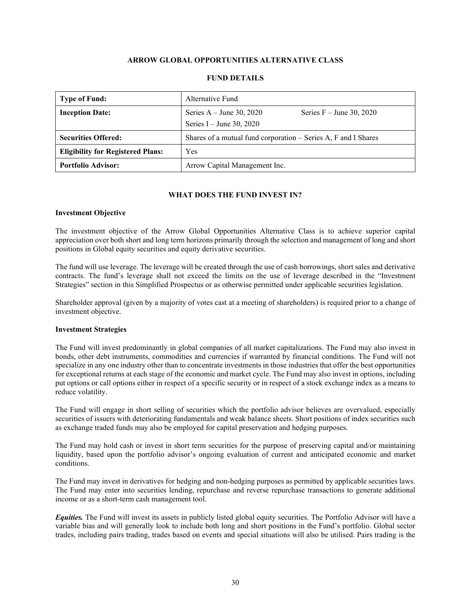## **ARROW GLOBAL OPPORTUNITIES ALTERNATIVE CLASS**

<span id="page-30-0"></span>

| <b>Type of Fund:</b>                     | Alternative Fund                                                                     |  |  |
|------------------------------------------|--------------------------------------------------------------------------------------|--|--|
| <b>Inception Date:</b>                   | Series $A - June 30, 2020$<br>Series $F -$ June 30, 2020<br>Series I – June 30, 2020 |  |  |
| <b>Securities Offered:</b>               | Shares of a mutual fund corporation – Series A, F and I Shares                       |  |  |
| <b>Eligibility for Registered Plans:</b> | Yes                                                                                  |  |  |
| <b>Portfolio Advisor:</b>                | Arrow Capital Management Inc.                                                        |  |  |

## **FUND DETAILS**

## **WHAT DOES THE FUND INVEST IN?**

#### **Investment Objective**

The investment objective of the Arrow Global Opportunities Alternative Class is to achieve superior capital appreciation over both short and long term horizons primarily through the selection and management of long and short positions in Global equity securities and equity derivative securities.

The fund will use leverage. The leverage will be created through the use of cash borrowings, short sales and derivative contracts. The fund's leverage shall not exceed the limits on the use of leverage described in the "Investment Strategies" section in this Simplified Prospectus or as otherwise permitted under applicable securities legislation.

Shareholder approval (given by a majority of votes cast at a meeting of shareholders) is required prior to a change of investment objective.

## **Investment Strategies**

The Fund will invest predominantly in global companies of all market capitalizations. The Fund may also invest in bonds, other debt instruments, commodities and currencies if warranted by financial conditions. The Fund will not specialize in any one industry other than to concentrate investments in those industries that offer the best opportunities for exceptional returns at each stage of the economic and market cycle. The Fund may also invest in options, including put options or call options either in respect of a specific security or in respect of a stock exchange index as a means to reduce volatility.

The Fund will engage in short selling of securities which the portfolio advisor believes are overvalued, especially securities of issuers with deteriorating fundamentals and weak balance sheets. Short positions of index securities such as exchange traded funds may also be employed for capital preservation and hedging purposes.

The Fund may hold cash or invest in short term securities for the purpose of preserving capital and/or maintaining liquidity, based upon the portfolio advisor's ongoing evaluation of current and anticipated economic and market conditions.

The Fund may invest in derivatives for hedging and non-hedging purposes as permitted by applicable securities laws. The Fund may enter into securities lending, repurchase and reverse repurchase transactions to generate additional income or as a short-term cash management tool.

*Equities.* The Fund will invest its assets in publicly listed global equity securities. The Portfolio Advisor will have a variable bias and will generally look to include both long and short positions in the Fund's portfolio. Global sector trades, including pairs trading, trades based on events and special situations will also be utilised. Pairs trading is the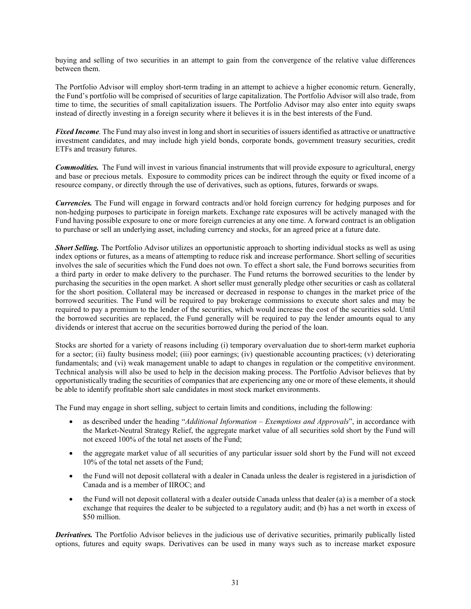buying and selling of two securities in an attempt to gain from the convergence of the relative value differences between them.

The Portfolio Advisor will employ short-term trading in an attempt to achieve a higher economic return. Generally, the Fund's portfolio will be comprised of securities of large capitalization. The Portfolio Advisor will also trade, from time to time, the securities of small capitalization issuers. The Portfolio Advisor may also enter into equity swaps instead of directly investing in a foreign security where it believes it is in the best interests of the Fund.

*Fixed Income.* The Fund may also invest in long and short in securities of issuers identified as attractive or unattractive investment candidates, and may include high yield bonds, corporate bonds, government treasury securities, credit ETFs and treasury futures.

*Commodities.* The Fund will invest in various financial instruments that will provide exposure to agricultural, energy and base or precious metals. Exposure to commodity prices can be indirect through the equity or fixed income of a resource company, or directly through the use of derivatives, such as options, futures, forwards or swaps.

*Currencies.* The Fund will engage in forward contracts and/or hold foreign currency for hedging purposes and for non-hedging purposes to participate in foreign markets. Exchange rate exposures will be actively managed with the Fund having possible exposure to one or more foreign currencies at any one time. A forward contract is an obligation to purchase or sell an underlying asset, including currency and stocks, for an agreed price at a future date.

*Short Selling.* The Portfolio Advisor utilizes an opportunistic approach to shorting individual stocks as well as using index options or futures, as a means of attempting to reduce risk and increase performance. Short selling of securities involves the sale of securities which the Fund does not own. To effect a short sale, the Fund borrows securities from a third party in order to make delivery to the purchaser. The Fund returns the borrowed securities to the lender by purchasing the securities in the open market. A short seller must generally pledge other securities or cash as collateral for the short position. Collateral may be increased or decreased in response to changes in the market price of the borrowed securities. The Fund will be required to pay brokerage commissions to execute short sales and may be required to pay a premium to the lender of the securities, which would increase the cost of the securities sold. Until the borrowed securities are replaced, the Fund generally will be required to pay the lender amounts equal to any dividends or interest that accrue on the securities borrowed during the period of the loan.

Stocks are shorted for a variety of reasons including (i) temporary overvaluation due to short-term market euphoria for a sector; (ii) faulty business model; (iii) poor earnings; (iv) questionable accounting practices; (v) deteriorating fundamentals; and (vi) weak management unable to adapt to changes in regulation or the competitive environment. Technical analysis will also be used to help in the decision making process. The Portfolio Advisor believes that by opportunistically trading the securities of companies that are experiencing any one or more of these elements, it should be able to identify profitable short sale candidates in most stock market environments.

The Fund may engage in short selling, subject to certain limits and conditions, including the following:

- as described under the heading "*Additional Information – Exemptions and Approvals*", in accordance with the Market-Neutral Strategy Relief, the aggregate market value of all securities sold short by the Fund will not exceed 100% of the total net assets of the Fund;
- the aggregate market value of all securities of any particular issuer sold short by the Fund will not exceed 10% of the total net assets of the Fund;
- the Fund will not deposit collateral with a dealer in Canada unless the dealer is registered in a jurisdiction of Canada and is a member of IIROC; and
- the Fund will not deposit collateral with a dealer outside Canada unless that dealer (a) is a member of a stock exchange that requires the dealer to be subjected to a regulatory audit; and (b) has a net worth in excess of \$50 million.

*Derivatives.* The Portfolio Advisor believes in the judicious use of derivative securities, primarily publically listed options, futures and equity swaps. Derivatives can be used in many ways such as to increase market exposure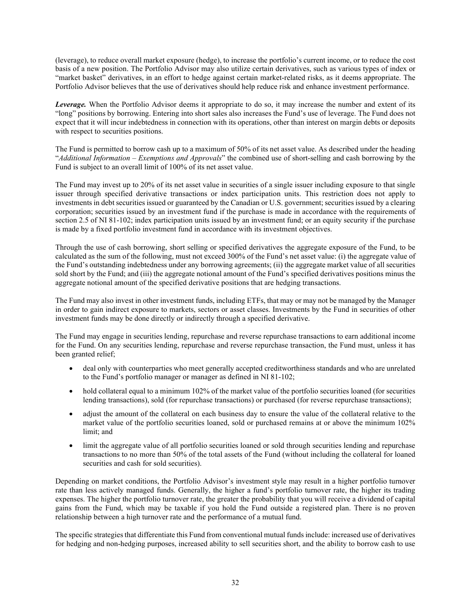(leverage), to reduce overall market exposure (hedge), to increase the portfolio's current income, or to reduce the cost basis of a new position. The Portfolio Advisor may also utilize certain derivatives, such as various types of index or "market basket" derivatives, in an effort to hedge against certain market-related risks, as it deems appropriate. The Portfolio Advisor believes that the use of derivatives should help reduce risk and enhance investment performance.

*Leverage.* When the Portfolio Advisor deems it appropriate to do so, it may increase the number and extent of its "long" positions by borrowing. Entering into short sales also increases the Fund's use of leverage. The Fund does not expect that it will incur indebtedness in connection with its operations, other than interest on margin debts or deposits with respect to securities positions.

The Fund is permitted to borrow cash up to a maximum of 50% of its net asset value. As described under the heading "*Additional Information – Exemptions and Approvals*" the combined use of short-selling and cash borrowing by the Fund is subject to an overall limit of 100% of its net asset value.

The Fund may invest up to 20% of its net asset value in securities of a single issuer including exposure to that single issuer through specified derivative transactions or index participation units. This restriction does not apply to investments in debt securities issued or guaranteed by the Canadian or U.S. government; securities issued by a clearing corporation; securities issued by an investment fund if the purchase is made in accordance with the requirements of section 2.5 of NI 81-102; index participation units issued by an investment fund; or an equity security if the purchase is made by a fixed portfolio investment fund in accordance with its investment objectives.

Through the use of cash borrowing, short selling or specified derivatives the aggregate exposure of the Fund, to be calculated as the sum of the following, must not exceed 300% of the Fund's net asset value: (i) the aggregate value of the Fund's outstanding indebtedness under any borrowing agreements; (ii) the aggregate market value of all securities sold short by the Fund; and (iii) the aggregate notional amount of the Fund's specified derivatives positions minus the aggregate notional amount of the specified derivative positions that are hedging transactions.

The Fund may also invest in other investment funds, including ETFs, that may or may not be managed by the Manager in order to gain indirect exposure to markets, sectors or asset classes. Investments by the Fund in securities of other investment funds may be done directly or indirectly through a specified derivative.

The Fund may engage in securities lending, repurchase and reverse repurchase transactions to earn additional income for the Fund. On any securities lending, repurchase and reverse repurchase transaction, the Fund must, unless it has been granted relief;

- deal only with counterparties who meet generally accepted creditworthiness standards and who are unrelated to the Fund's portfolio manager or manager as defined in NI 81-102;
- hold collateral equal to a minimum 102% of the market value of the portfolio securities loaned (for securities lending transactions), sold (for repurchase transactions) or purchased (for reverse repurchase transactions);
- adjust the amount of the collateral on each business day to ensure the value of the collateral relative to the market value of the portfolio securities loaned, sold or purchased remains at or above the minimum 102% limit; and
- limit the aggregate value of all portfolio securities loaned or sold through securities lending and repurchase transactions to no more than 50% of the total assets of the Fund (without including the collateral for loaned securities and cash for sold securities).

Depending on market conditions, the Portfolio Advisor's investment style may result in a higher portfolio turnover rate than less actively managed funds. Generally, the higher a fund's portfolio turnover rate, the higher its trading expenses. The higher the portfolio turnover rate, the greater the probability that you will receive a dividend of capital gains from the Fund, which may be taxable if you hold the Fund outside a registered plan. There is no proven relationship between a high turnover rate and the performance of a mutual fund.

The specific strategies that differentiate this Fund from conventional mutual funds include: increased use of derivatives for hedging and non-hedging purposes, increased ability to sell securities short, and the ability to borrow cash to use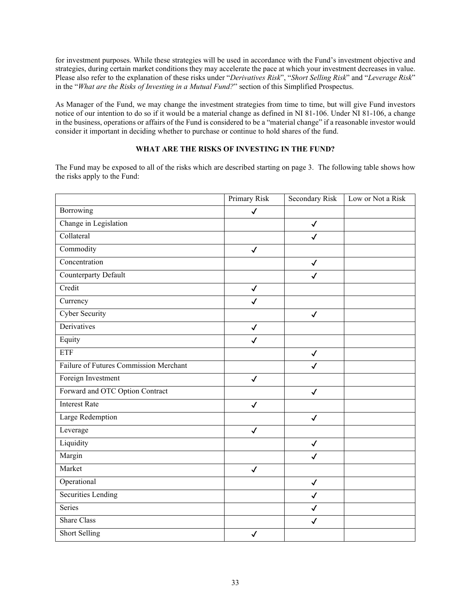for investment purposes. While these strategies will be used in accordance with the Fund's investment objective and strategies, during certain market conditions they may accelerate the pace at which your investment decreases in value. Please also refer to the explanation of these risks under "*Derivatives Risk*", "*Short Selling Risk*" and "*Leverage Risk*" in the "*What are the Risks of Investing in a Mutual Fund?*" section of this Simplified Prospectus.

As Manager of the Fund, we may change the investment strategies from time to time, but will give Fund investors notice of our intention to do so if it would be a material change as defined in NI 81-106. Under NI 81-106, a change in the business, operations or affairs of the Fund is considered to be a "material change" if a reasonable investor would consider it important in deciding whether to purchase or continue to hold shares of the fund.

## **WHAT ARE THE RISKS OF INVESTING IN THE FUND?**

The Fund may be exposed to all of the risks which are described starting on pag[e 3.](#page-3-1) The following table shows how the risks apply to the Fund:

|                                        | <b>Primary Risk</b> | <b>Secondary Risk</b> | Low or Not a Risk |
|----------------------------------------|---------------------|-----------------------|-------------------|
| Borrowing                              | $\checkmark$        |                       |                   |
| Change in Legislation                  |                     | $\checkmark$          |                   |
| Collateral                             |                     | $\checkmark$          |                   |
| Commodity                              | $\checkmark$        |                       |                   |
| Concentration                          |                     | $\checkmark$          |                   |
| <b>Counterparty Default</b>            |                     | $\checkmark$          |                   |
| Credit                                 | $\checkmark$        |                       |                   |
| Currency                               | $\checkmark$        |                       |                   |
| Cyber Security                         |                     | $\checkmark$          |                   |
| Derivatives                            | $\checkmark$        |                       |                   |
| Equity                                 | $\checkmark$        |                       |                   |
| <b>ETF</b>                             |                     | $\checkmark$          |                   |
| Failure of Futures Commission Merchant |                     | $\checkmark$          |                   |
| Foreign Investment                     | $\checkmark$        |                       |                   |
| Forward and OTC Option Contract        |                     | $\checkmark$          |                   |
| <b>Interest Rate</b>                   | $\checkmark$        |                       |                   |
| Large Redemption                       |                     | $\checkmark$          |                   |
| Leverage                               | $\checkmark$        |                       |                   |
| Liquidity                              |                     | $\checkmark$          |                   |
| Margin                                 |                     | $\checkmark$          |                   |
| Market                                 | $\checkmark$        |                       |                   |
| Operational                            |                     | $\checkmark$          |                   |
| Securities Lending                     |                     | $\checkmark$          |                   |
| Series                                 |                     | $\checkmark$          |                   |
| <b>Share Class</b>                     |                     | $\checkmark$          |                   |
| <b>Short Selling</b>                   | $\checkmark$        |                       |                   |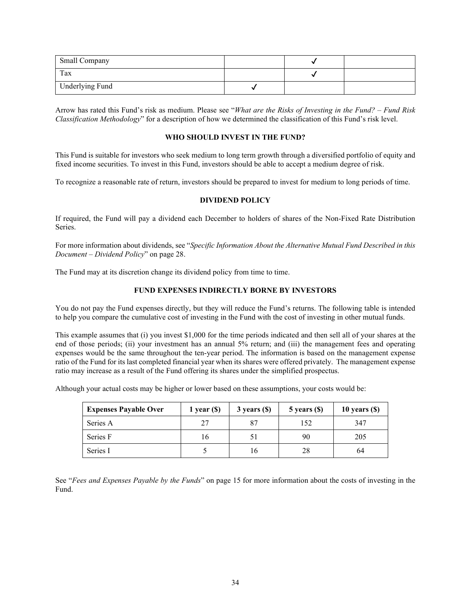| <b>Small Company</b> |  |  |
|----------------------|--|--|
| Tax                  |  |  |
| Underlying Fund      |  |  |

Arrow has rated this Fund's risk as medium. Please see "*What are the Risks of Investing in the Fund? – Fund Risk Classification Methodology*" for a description of how we determined the classification of this Fund's risk level.

## **WHO SHOULD INVEST IN THE FUND?**

This Fund is suitable for investors who seek medium to long term growth through a diversified portfolio of equity and fixed income securities. To invest in this Fund, investors should be able to accept a medium degree of risk.

To recognize a reasonable rate of return, investors should be prepared to invest for medium to long periods of time.

## **DIVIDEND POLICY**

If required, the Fund will pay a dividend each December to holders of shares of the Non-Fixed Rate Distribution Series.

For more information about dividends, see "*Specific Information About the Alternative Mutual Fund Described in this Document – Dividend Policy*" on pag[e 28.](#page-28-0)

The Fund may at its discretion change its dividend policy from time to time.

## **FUND EXPENSES INDIRECTLY BORNE BY INVESTORS**

You do not pay the Fund expenses directly, but they will reduce the Fund's returns. The following table is intended to help you compare the cumulative cost of investing in the Fund with the cost of investing in other mutual funds.

This example assumes that (i) you invest \$1,000 for the time periods indicated and then sell all of your shares at the end of those periods; (ii) your investment has an annual 5% return; and (iii) the management fees and operating expenses would be the same throughout the ten-year period. The information is based on the management expense ratio of the Fund for its last completed financial year when its shares were offered privately. The management expense ratio may increase as a result of the Fund offering its shares under the simplified prospectus.

Although your actual costs may be higher or lower based on these assumptions, your costs would be:

| <b>Expenses Payable Over</b> | 1 year $(\$)$ | $3$ years $(S)$ | $5$ years $(\$)$ | 10 years $(\$)$ |
|------------------------------|---------------|-----------------|------------------|-----------------|
| Series A                     | 27            | 87              | 152              | 347             |
| Series F                     | 16            |                 | 90               | 205             |
| Series I                     |               | 16              | 28               | 64              |

See "*Fees and Expenses Payable by the Funds*" on page [15](#page-15-0) for more information about the costs of investing in the Fund.